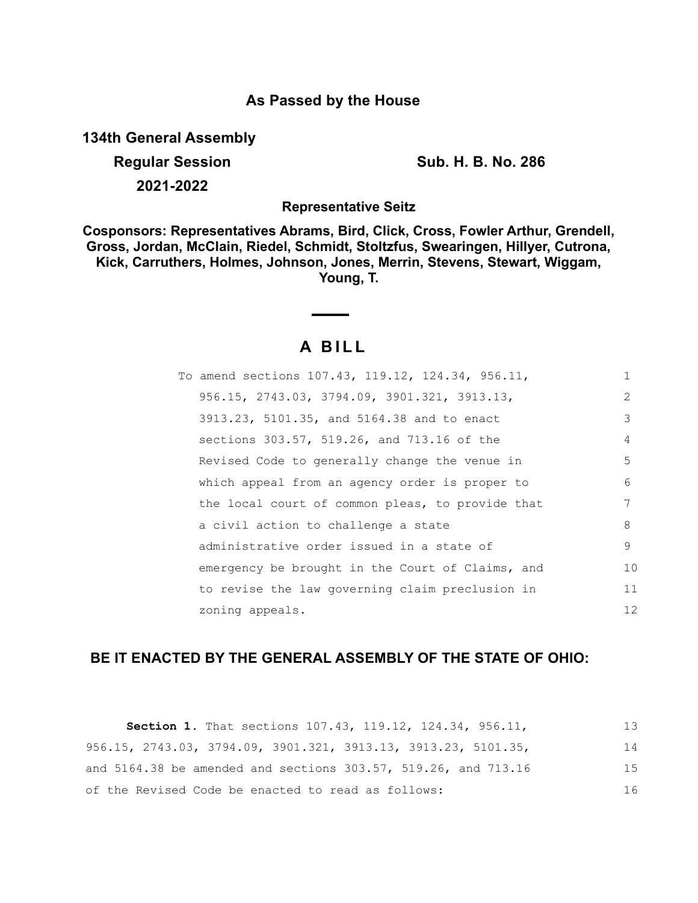## **As Passed by the House**

**134th General Assembly**

**Regular Session Sub. H. B. No. 286 2021-2022**

**Representative Seitz**

**Cosponsors: Representatives Abrams, Bird, Click, Cross, Fowler Arthur, Grendell, Gross, Jordan, McClain, Riedel, Schmidt, Stoltzfus, Swearingen, Hillyer, Cutrona, Kick, Carruthers, Holmes, Johnson, Jones, Merrin, Stevens, Stewart, Wiggam, Young, T.**

# **A B I L L**

| To amend sections 107.43, 119.12, 124.34, 956.11, |               |
|---------------------------------------------------|---------------|
| 956.15, 2743.03, 3794.09, 3901.321, 3913.13,      | $\mathcal{L}$ |
| 3913.23, 5101.35, and 5164.38 and to enact        | 3             |
| sections 303.57, 519.26, and 713.16 of the        | 4             |
| Revised Code to generally change the venue in     | 5             |
| which appeal from an agency order is proper to    | 6             |
| the local court of common pleas, to provide that  | 7             |
| a civil action to challenge a state               | 8             |
| administrative order issued in a state of         | 9             |
| emergency be brought in the Court of Claims, and  | 10            |
| to revise the law governing claim preclusion in   | 11            |
| zoning appeals.                                   | 12            |

### **BE IT ENACTED BY THE GENERAL ASSEMBLY OF THE STATE OF OHIO:**

| <b>Section 1.</b> That sections 107.43, 119.12, 124.34, 956.11, | 13  |
|-----------------------------------------------------------------|-----|
| 956.15, 2743.03, 3794.09, 3901.321, 3913.13, 3913.23, 5101.35,  | 14  |
| and 5164.38 be amended and sections 303.57, 519.26, and 713.16  | 1.5 |
| of the Revised Code be enacted to read as follows:              | 16  |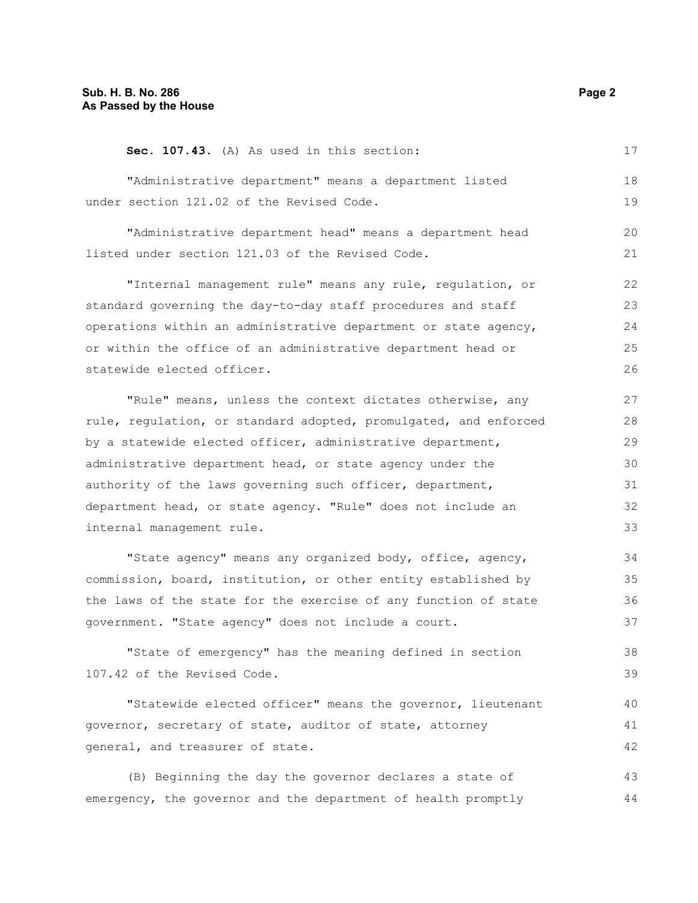| Sec. 107.43. (A) As used in this section:                        | 17 |
|------------------------------------------------------------------|----|
| "Administrative department" means a department listed            | 18 |
| under section 121.02 of the Revised Code.                        | 19 |
| "Administrative department head" means a department head         | 20 |
| listed under section 121.03 of the Revised Code.                 | 21 |
| "Internal management rule" means any rule, regulation, or        | 22 |
| standard governing the day-to-day staff procedures and staff     | 23 |
| operations within an administrative department or state agency,  | 24 |
| or within the office of an administrative department head or     | 25 |
| statewide elected officer.                                       | 26 |
| "Rule" means, unless the context dictates otherwise, any         | 27 |
| rule, regulation, or standard adopted, promulgated, and enforced | 28 |
| by a statewide elected officer, administrative department,       | 29 |
| administrative department head, or state agency under the        | 30 |
| authority of the laws governing such officer, department,        | 31 |
| department head, or state agency. "Rule" does not include an     | 32 |
| internal management rule.                                        | 33 |
| "State agency" means any organized body, office, agency,         | 34 |
| commission, board, institution, or other entity established by   | 35 |
| the laws of the state for the exercise of any function of state  | 36 |
| government. "State agency" does not include a court.             | 37 |
| "State of emergency" has the meaning defined in section          | 38 |
| 107.42 of the Revised Code.                                      | 39 |
| "Statewide elected officer" means the governor, lieutenant       | 40 |
| governor, secretary of state, auditor of state, attorney         | 41 |
| general, and treasurer of state.                                 | 42 |
| (B) Beginning the day the governor declares a state of           | 43 |

emergency, the governor and the department of health promptly 44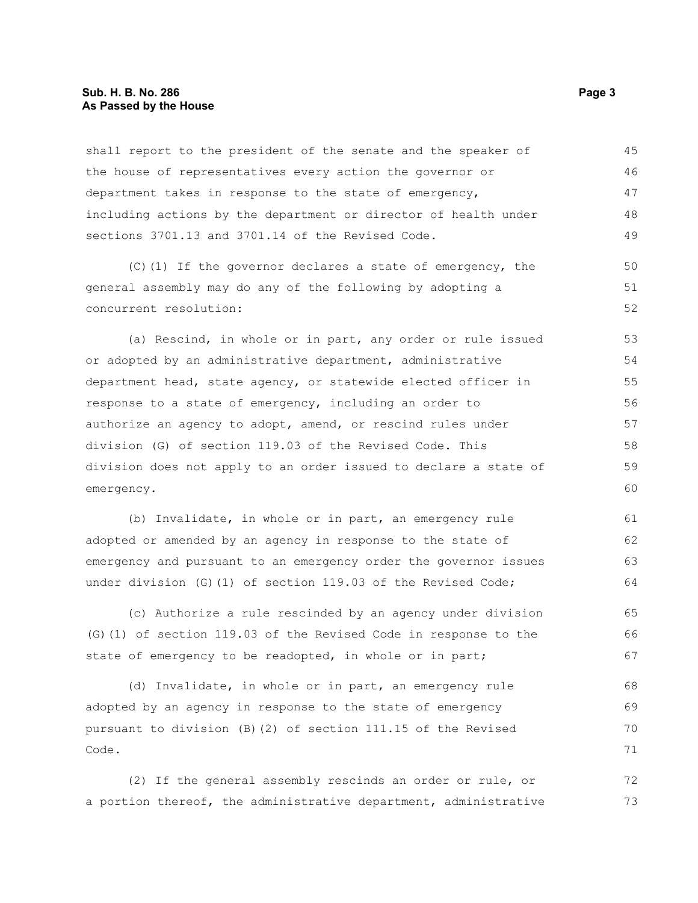#### **Sub. H. B. No. 286 Page 3 As Passed by the House**

shall report to the president of the senate and the speaker of the house of representatives every action the governor or department takes in response to the state of emergency, including actions by the department or director of health under sections 3701.13 and 3701.14 of the Revised Code. 45 46 47 48 49

(C)(1) If the governor declares a state of emergency, the general assembly may do any of the following by adopting a concurrent resolution:

(a) Rescind, in whole or in part, any order or rule issued or adopted by an administrative department, administrative department head, state agency, or statewide elected officer in response to a state of emergency, including an order to authorize an agency to adopt, amend, or rescind rules under division (G) of section 119.03 of the Revised Code. This division does not apply to an order issued to declare a state of emergency. 53 54 55 56 57 58 59  $60$ 

(b) Invalidate, in whole or in part, an emergency rule adopted or amended by an agency in response to the state of emergency and pursuant to an emergency order the governor issues under division (G)(1) of section 119.03 of the Revised Code; 61 62 63 64

(c) Authorize a rule rescinded by an agency under division (G)(1) of section 119.03 of the Revised Code in response to the state of emergency to be readopted, in whole or in part;

(d) Invalidate, in whole or in part, an emergency rule adopted by an agency in response to the state of emergency pursuant to division (B)(2) of section 111.15 of the Revised Code. 68 69 70 71

(2) If the general assembly rescinds an order or rule, or a portion thereof, the administrative department, administrative 72 73

50 51 52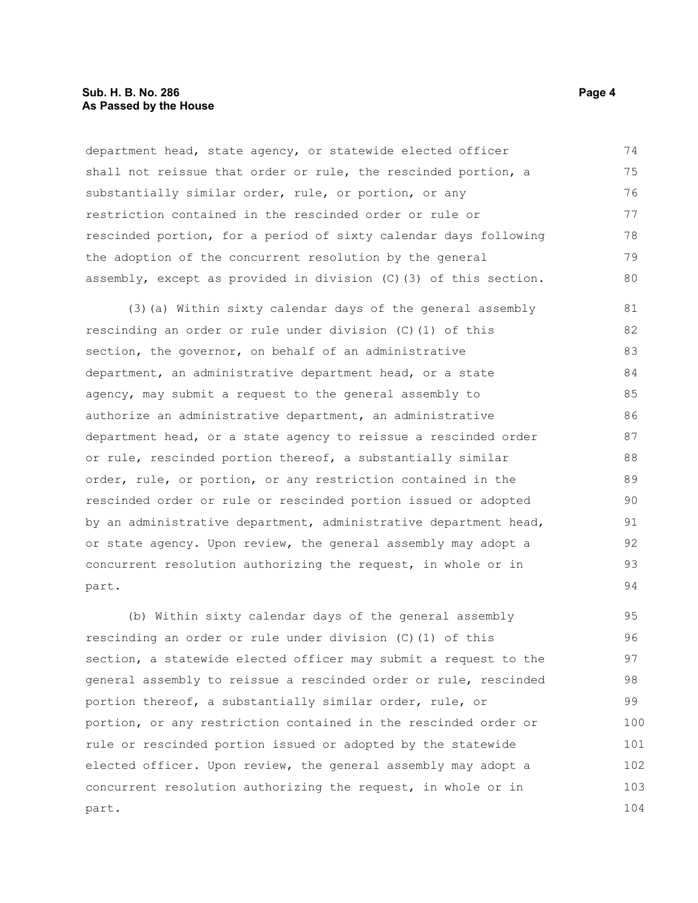#### **Sub. H. B. No. 286 Page 4 Page 4 Page 4 Page 4 Page 4 Page 4 Page 4 Page 4 As Passed by the House**

department head, state agency, or statewide elected officer shall not reissue that order or rule, the rescinded portion, a substantially similar order, rule, or portion, or any restriction contained in the rescinded order or rule or rescinded portion, for a period of sixty calendar days following the adoption of the concurrent resolution by the general assembly, except as provided in division (C)(3) of this section. 74 75 76 77 78 79 80

(3)(a) Within sixty calendar days of the general assembly rescinding an order or rule under division (C)(1) of this section, the governor, on behalf of an administrative department, an administrative department head, or a state agency, may submit a request to the general assembly to authorize an administrative department, an administrative department head, or a state agency to reissue a rescinded order or rule, rescinded portion thereof, a substantially similar order, rule, or portion, or any restriction contained in the rescinded order or rule or rescinded portion issued or adopted by an administrative department, administrative department head, or state agency. Upon review, the general assembly may adopt a concurrent resolution authorizing the request, in whole or in part. 81 82 83 84 85 86 87 88 89 90 91 92 93 94

(b) Within sixty calendar days of the general assembly rescinding an order or rule under division (C)(1) of this section, a statewide elected officer may submit a request to the general assembly to reissue a rescinded order or rule, rescinded portion thereof, a substantially similar order, rule, or portion, or any restriction contained in the rescinded order or rule or rescinded portion issued or adopted by the statewide elected officer. Upon review, the general assembly may adopt a concurrent resolution authorizing the request, in whole or in part. 95 96 97 98 99 100 101 102 103 104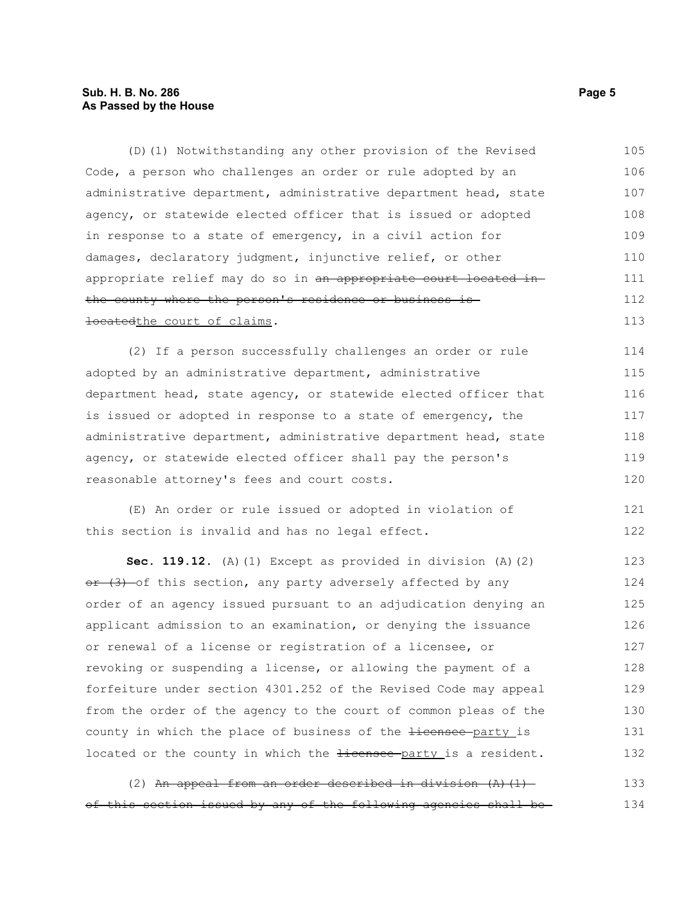#### **Sub. H. B. No. 286 Page 5** Page 5 **As Passed by the House**

(D)(1) Notwithstanding any other provision of the Revised Code, a person who challenges an order or rule adopted by an administrative department, administrative department head, state agency, or statewide elected officer that is issued or adopted in response to a state of emergency, in a civil action for damages, declaratory judgment, injunctive relief, or other appropriate relief may do so in an appropriate court located in the county where the person's residence or business is locatedthe court of claims. 105 106 107 108 109 110 111 112 113

(2) If a person successfully challenges an order or rule adopted by an administrative department, administrative department head, state agency, or statewide elected officer that is issued or adopted in response to a state of emergency, the administrative department, administrative department head, state agency, or statewide elected officer shall pay the person's reasonable attorney's fees and court costs. 114 115 116 117 118 119 120

(E) An order or rule issued or adopted in violation of this section is invalid and has no legal effect. 121 122

**Sec. 119.12.** (A)(1) Except as provided in division (A)(2) or (3) of this section, any party adversely affected by any order of an agency issued pursuant to an adjudication denying an applicant admission to an examination, or denying the issuance or renewal of a license or registration of a licensee, or revoking or suspending a license, or allowing the payment of a forfeiture under section 4301.252 of the Revised Code may appeal from the order of the agency to the court of common pleas of the county in which the place of business of the <del>licensee party</del> is located or the county in which the *licensee party* is a resident. 123 124 125 126 127 128 129 130 131 132

(2) An appeal from an order described in division  $(A)$   $(1)$ of this section issued by any of the following agencies shall be 133 134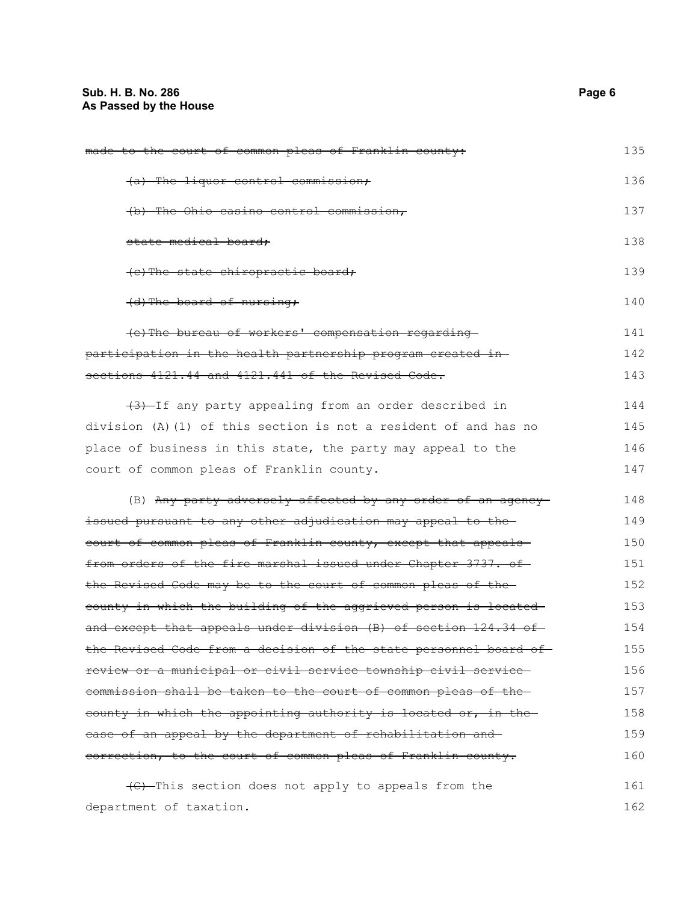| made to the court of common pleas of Franklin county:            | 135 |
|------------------------------------------------------------------|-----|
| (a) The liquor control commission;                               | 136 |
| (b) The Ohio casino control commission,                          | 137 |
| state medical board;                                             | 138 |
| (e) The state chiropractic board;                                | 139 |
| (d) The board of nursing;                                        | 140 |
| (e) The bureau of workers' compensation regarding-               | 141 |
| participation in the health partnership program created in-      | 142 |
| sections 4121.44 and 4121.441 of the Revised Code.               | 143 |
| (3) If any party appealing from an order described in            | 144 |
| division (A)(1) of this section is not a resident of and has no  | 145 |
| place of business in this state, the party may appeal to the     | 146 |
| court of common pleas of Franklin county.                        | 147 |
| (B) Any party adversely affected by any order of an agency-      | 148 |
| issued pursuant to any other adjudication may appeal to the      | 149 |
| eourt of common pleas of Franklin county, except that appeals    | 150 |
| from orders of the fire marshal issued under Chapter 3737. of    | 151 |
| the Revised Code may be to the court of common pleas of the-     | 152 |
| county in which the building of the aggrieved person is located  | 153 |
| and except that appeals under division (B) of section 124.34 of  | 154 |
| the Revised Code from a decision of the state personnel board of | 155 |
| review or a municipal or civil service township civil service-   | 156 |
| eommission shall be taken to the court of common pleas of the-   | 157 |
| eounty in which the appointing authority is located or, in the   | 158 |
| ease of an appeal by the department of rehabilitation and        | 159 |
| correction, to the court of common pleas of Franklin county.     | 160 |
| (C) This section does not apply to appeals from the              | 161 |
| department of taxation.                                          | 162 |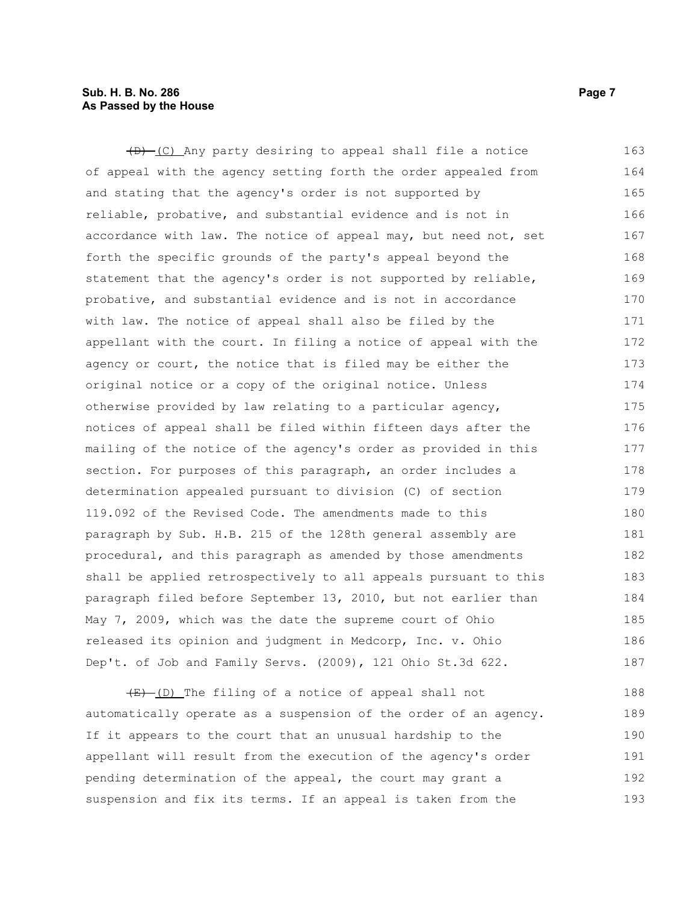#### **Sub. H. B. No. 286 Page 7 Page 7 Page 7 Page 7 Page 7 Page 7 Page 7 Page 7 As Passed by the House**

 $(D)$  (C) Any party desiring to appeal shall file a notice of appeal with the agency setting forth the order appealed from and stating that the agency's order is not supported by reliable, probative, and substantial evidence and is not in accordance with law. The notice of appeal may, but need not, set forth the specific grounds of the party's appeal beyond the statement that the agency's order is not supported by reliable, probative, and substantial evidence and is not in accordance with law. The notice of appeal shall also be filed by the appellant with the court. In filing a notice of appeal with the agency or court, the notice that is filed may be either the original notice or a copy of the original notice. Unless otherwise provided by law relating to a particular agency, notices of appeal shall be filed within fifteen days after the mailing of the notice of the agency's order as provided in this section. For purposes of this paragraph, an order includes a determination appealed pursuant to division (C) of section 119.092 of the Revised Code. The amendments made to this paragraph by Sub. H.B. 215 of the 128th general assembly are procedural, and this paragraph as amended by those amendments shall be applied retrospectively to all appeals pursuant to this paragraph filed before September 13, 2010, but not earlier than May 7, 2009, which was the date the supreme court of Ohio released its opinion and judgment in Medcorp, Inc. v. Ohio Dep't. of Job and Family Servs. (2009), 121 Ohio St.3d 622. 163 164 165 166 167 168 169 170 171 172 173 174 175 176 177 178 179 180 181 182 183 184 185 186 187

(E) (D) The filing of a notice of appeal shall not automatically operate as a suspension of the order of an agency. If it appears to the court that an unusual hardship to the appellant will result from the execution of the agency's order pending determination of the appeal, the court may grant a suspension and fix its terms. If an appeal is taken from the 188 189 190 191 192 193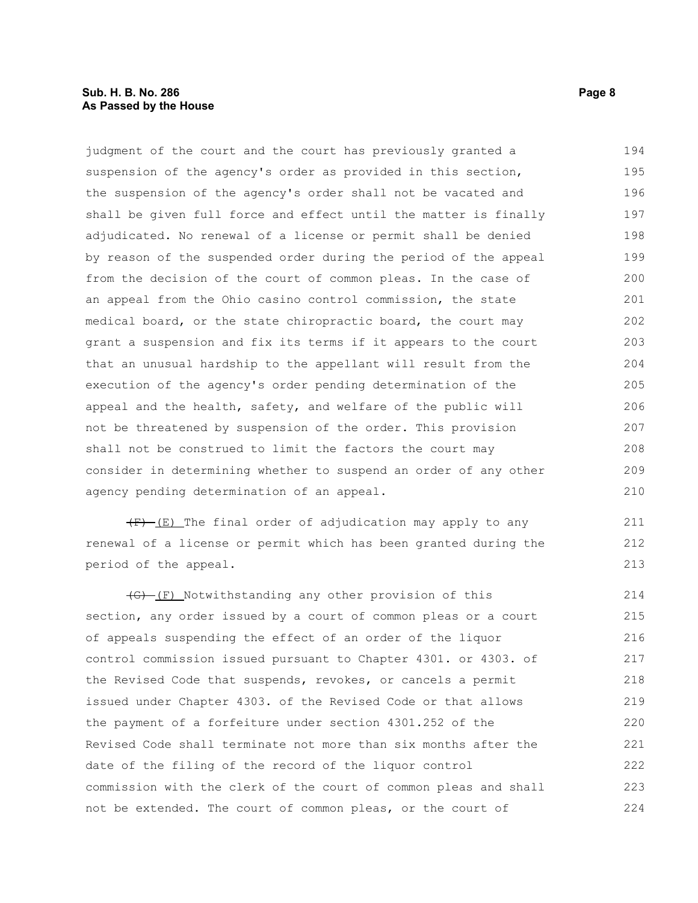#### **Sub. H. B. No. 286 Page 8 Page 8 As Passed by the House**

judgment of the court and the court has previously granted a suspension of the agency's order as provided in this section, the suspension of the agency's order shall not be vacated and shall be given full force and effect until the matter is finally adjudicated. No renewal of a license or permit shall be denied by reason of the suspended order during the period of the appeal from the decision of the court of common pleas. In the case of an appeal from the Ohio casino control commission, the state medical board, or the state chiropractic board, the court may grant a suspension and fix its terms if it appears to the court that an unusual hardship to the appellant will result from the execution of the agency's order pending determination of the appeal and the health, safety, and welfare of the public will not be threatened by suspension of the order. This provision shall not be construed to limit the factors the court may consider in determining whether to suspend an order of any other agency pending determination of an appeal. 194 195 196 197 198 199 200 201 202 203 204 205 206 207 208 209 210

 $(F)$  (E) The final order of adjudication may apply to any renewal of a license or permit which has been granted during the period of the appeal.

(G) (F) Notwithstanding any other provision of this section, any order issued by a court of common pleas or a court of appeals suspending the effect of an order of the liquor control commission issued pursuant to Chapter 4301. or 4303. of the Revised Code that suspends, revokes, or cancels a permit issued under Chapter 4303. of the Revised Code or that allows the payment of a forfeiture under section 4301.252 of the Revised Code shall terminate not more than six months after the date of the filing of the record of the liquor control commission with the clerk of the court of common pleas and shall not be extended. The court of common pleas, or the court of 214 215 216 217 218 219 220 221 222 223 224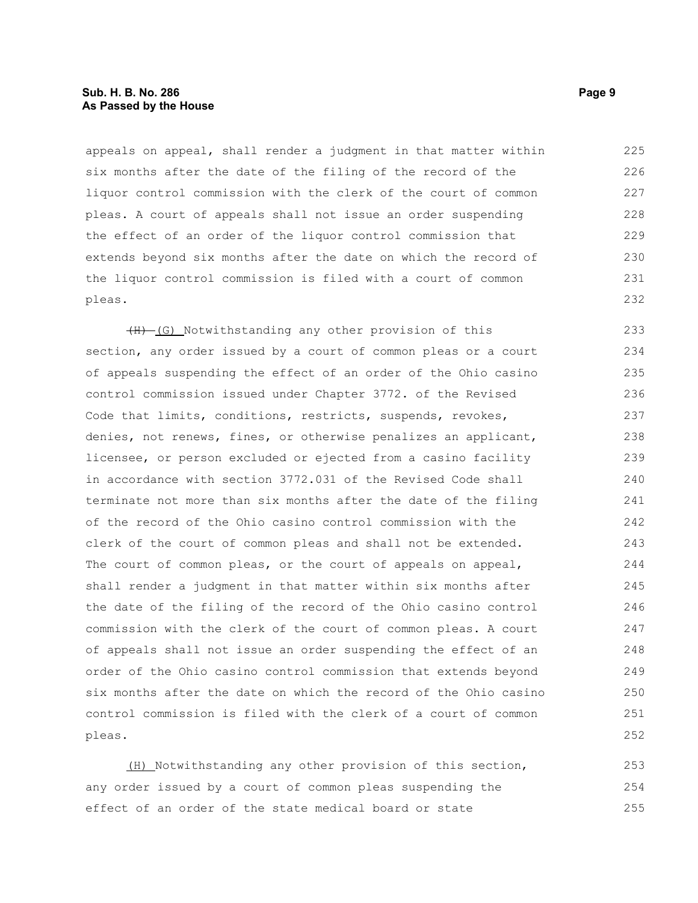#### **Sub. H. B. No. 286 Page 9 As Passed by the House**

appeals on appeal, shall render a judgment in that matter within six months after the date of the filing of the record of the liquor control commission with the clerk of the court of common pleas. A court of appeals shall not issue an order suspending the effect of an order of the liquor control commission that extends beyond six months after the date on which the record of the liquor control commission is filed with a court of common pleas. 225 226 227 228 229 230 231 232

(H) (G) Notwithstanding any other provision of this section, any order issued by a court of common pleas or a court of appeals suspending the effect of an order of the Ohio casino control commission issued under Chapter 3772. of the Revised Code that limits, conditions, restricts, suspends, revokes, denies, not renews, fines, or otherwise penalizes an applicant, licensee, or person excluded or ejected from a casino facility in accordance with section 3772.031 of the Revised Code shall terminate not more than six months after the date of the filing of the record of the Ohio casino control commission with the clerk of the court of common pleas and shall not be extended. The court of common pleas, or the court of appeals on appeal, shall render a judgment in that matter within six months after the date of the filing of the record of the Ohio casino control commission with the clerk of the court of common pleas. A court of appeals shall not issue an order suspending the effect of an order of the Ohio casino control commission that extends beyond six months after the date on which the record of the Ohio casino control commission is filed with the clerk of a court of common pleas.

(H) Notwithstanding any other provision of this section, any order issued by a court of common pleas suspending the effect of an order of the state medical board or state 253 254 255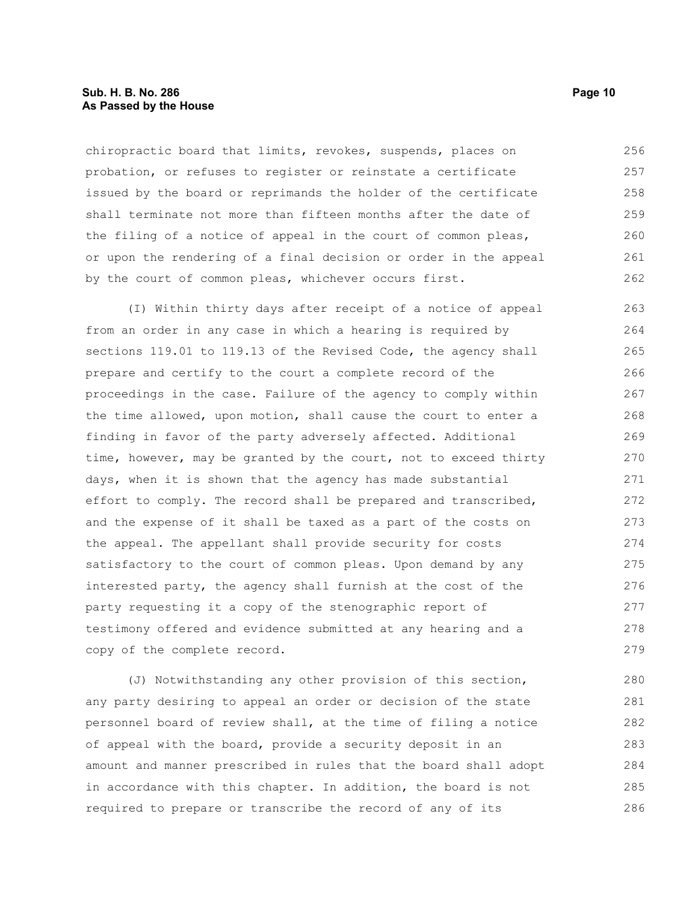#### **Sub. H. B. No. 286 Page 10 As Passed by the House**

chiropractic board that limits, revokes, suspends, places on probation, or refuses to register or reinstate a certificate issued by the board or reprimands the holder of the certificate shall terminate not more than fifteen months after the date of the filing of a notice of appeal in the court of common pleas, or upon the rendering of a final decision or order in the appeal by the court of common pleas, whichever occurs first. 256 257 258 259 260 261 262

(I) Within thirty days after receipt of a notice of appeal from an order in any case in which a hearing is required by sections 119.01 to 119.13 of the Revised Code, the agency shall prepare and certify to the court a complete record of the proceedings in the case. Failure of the agency to comply within the time allowed, upon motion, shall cause the court to enter a finding in favor of the party adversely affected. Additional time, however, may be granted by the court, not to exceed thirty days, when it is shown that the agency has made substantial effort to comply. The record shall be prepared and transcribed, and the expense of it shall be taxed as a part of the costs on the appeal. The appellant shall provide security for costs satisfactory to the court of common pleas. Upon demand by any interested party, the agency shall furnish at the cost of the party requesting it a copy of the stenographic report of testimony offered and evidence submitted at any hearing and a copy of the complete record. 263 264 265 266 267 268 269 270 271 272 273 274 275 276 277 278 279

(J) Notwithstanding any other provision of this section, any party desiring to appeal an order or decision of the state personnel board of review shall, at the time of filing a notice of appeal with the board, provide a security deposit in an amount and manner prescribed in rules that the board shall adopt in accordance with this chapter. In addition, the board is not required to prepare or transcribe the record of any of its 280 281 282 283 284 285 286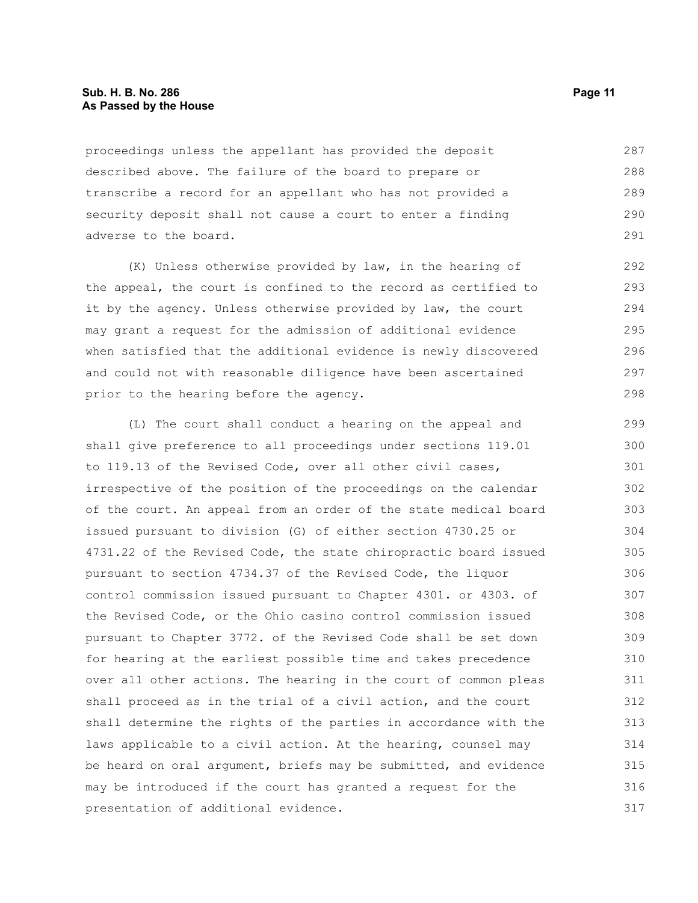#### **Sub. H. B. No. 286 Page 11 As Passed by the House**

proceedings unless the appellant has provided the deposit described above. The failure of the board to prepare or transcribe a record for an appellant who has not provided a security deposit shall not cause a court to enter a finding adverse to the board. 287 288 289 290 291

(K) Unless otherwise provided by law, in the hearing of the appeal, the court is confined to the record as certified to it by the agency. Unless otherwise provided by law, the court may grant a request for the admission of additional evidence when satisfied that the additional evidence is newly discovered and could not with reasonable diligence have been ascertained prior to the hearing before the agency.

(L) The court shall conduct a hearing on the appeal and shall give preference to all proceedings under sections 119.01 to 119.13 of the Revised Code, over all other civil cases, irrespective of the position of the proceedings on the calendar of the court. An appeal from an order of the state medical board issued pursuant to division (G) of either section 4730.25 or 4731.22 of the Revised Code, the state chiropractic board issued pursuant to section 4734.37 of the Revised Code, the liquor control commission issued pursuant to Chapter 4301. or 4303. of the Revised Code, or the Ohio casino control commission issued pursuant to Chapter 3772. of the Revised Code shall be set down for hearing at the earliest possible time and takes precedence over all other actions. The hearing in the court of common pleas shall proceed as in the trial of a civil action, and the court shall determine the rights of the parties in accordance with the laws applicable to a civil action. At the hearing, counsel may be heard on oral argument, briefs may be submitted, and evidence may be introduced if the court has granted a request for the presentation of additional evidence. 299 300 301 302 303 304 305 306 307 308 309 310 311 312 313 314 315 316 317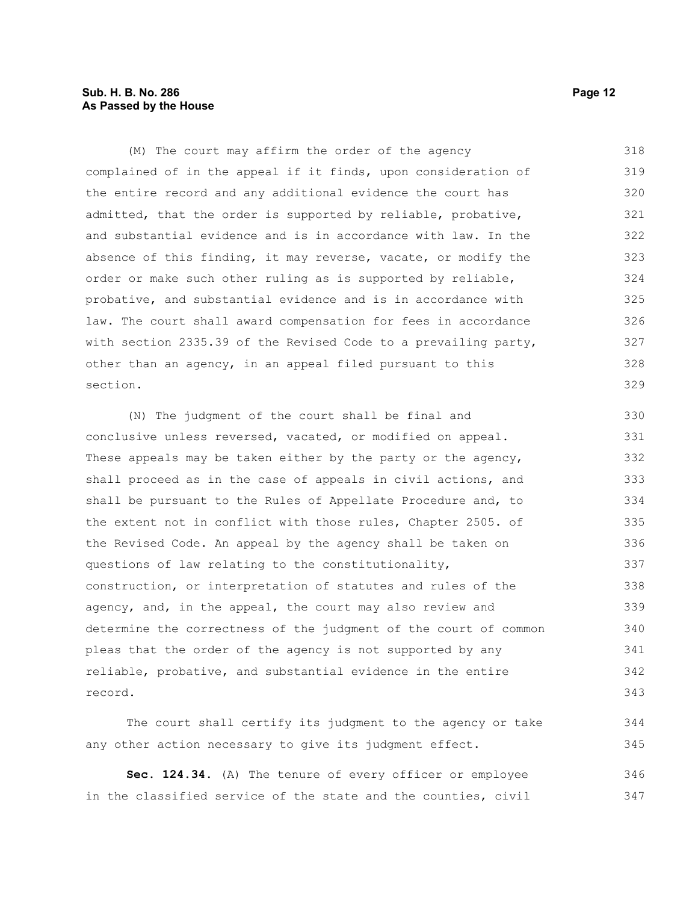### **Sub. H. B. No. 286 Page 12 As Passed by the House**

(M) The court may affirm the order of the agency complained of in the appeal if it finds, upon consideration of the entire record and any additional evidence the court has admitted, that the order is supported by reliable, probative, and substantial evidence and is in accordance with law. In the absence of this finding, it may reverse, vacate, or modify the order or make such other ruling as is supported by reliable, probative, and substantial evidence and is in accordance with law. The court shall award compensation for fees in accordance with section 2335.39 of the Revised Code to a prevailing party, other than an agency, in an appeal filed pursuant to this section. 318 319 320 321 322 323 324 325 326 327 328 329

(N) The judgment of the court shall be final and conclusive unless reversed, vacated, or modified on appeal. These appeals may be taken either by the party or the agency, shall proceed as in the case of appeals in civil actions, and shall be pursuant to the Rules of Appellate Procedure and, to the extent not in conflict with those rules, Chapter 2505. of the Revised Code. An appeal by the agency shall be taken on questions of law relating to the constitutionality, construction, or interpretation of statutes and rules of the agency, and, in the appeal, the court may also review and determine the correctness of the judgment of the court of common pleas that the order of the agency is not supported by any reliable, probative, and substantial evidence in the entire record. 330 331 332 333 334 335 336 337 338 339 340 341 342 343

The court shall certify its judgment to the agency or take any other action necessary to give its judgment effect.

**Sec. 124.34.** (A) The tenure of every officer or employee in the classified service of the state and the counties, civil 346 347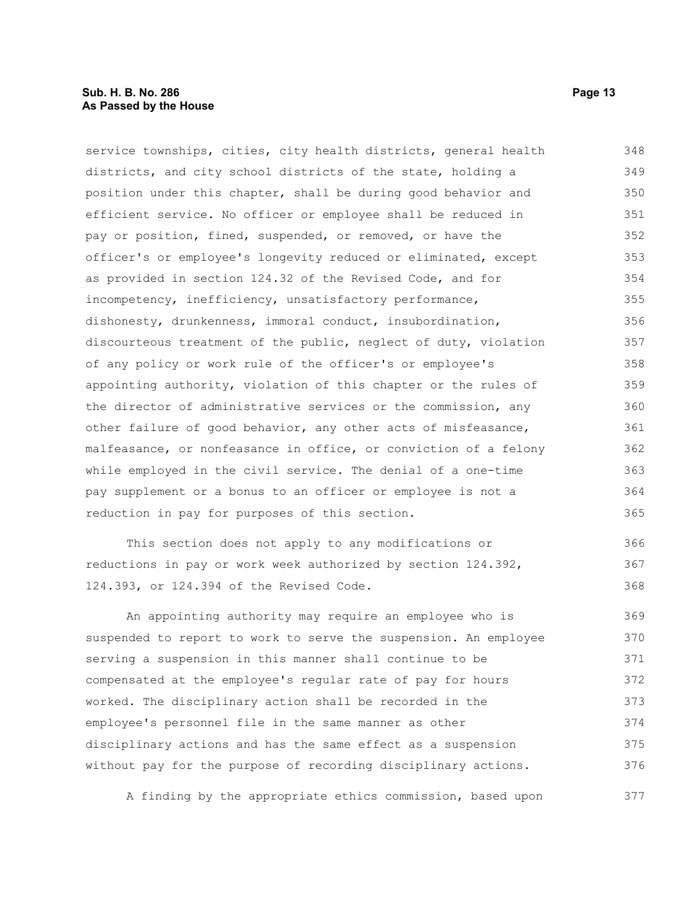#### **Sub. H. B. No. 286 Page 13 As Passed by the House**

service townships, cities, city health districts, general health districts, and city school districts of the state, holding a position under this chapter, shall be during good behavior and efficient service. No officer or employee shall be reduced in pay or position, fined, suspended, or removed, or have the officer's or employee's longevity reduced or eliminated, except as provided in section 124.32 of the Revised Code, and for incompetency, inefficiency, unsatisfactory performance, dishonesty, drunkenness, immoral conduct, insubordination, discourteous treatment of the public, neglect of duty, violation of any policy or work rule of the officer's or employee's appointing authority, violation of this chapter or the rules of the director of administrative services or the commission, any other failure of good behavior, any other acts of misfeasance, malfeasance, or nonfeasance in office, or conviction of a felony while employed in the civil service. The denial of a one-time pay supplement or a bonus to an officer or employee is not a reduction in pay for purposes of this section. 348 349 350 351 352 353 354 355 356 357 358 359 360 361 362 363 364 365

This section does not apply to any modifications or reductions in pay or work week authorized by section 124.392, 124.393, or 124.394 of the Revised Code. 366 367 368

An appointing authority may require an employee who is suspended to report to work to serve the suspension. An employee serving a suspension in this manner shall continue to be compensated at the employee's regular rate of pay for hours worked. The disciplinary action shall be recorded in the employee's personnel file in the same manner as other disciplinary actions and has the same effect as a suspension without pay for the purpose of recording disciplinary actions. 369 370 371 372 373 374 375 376

A finding by the appropriate ethics commission, based upon 377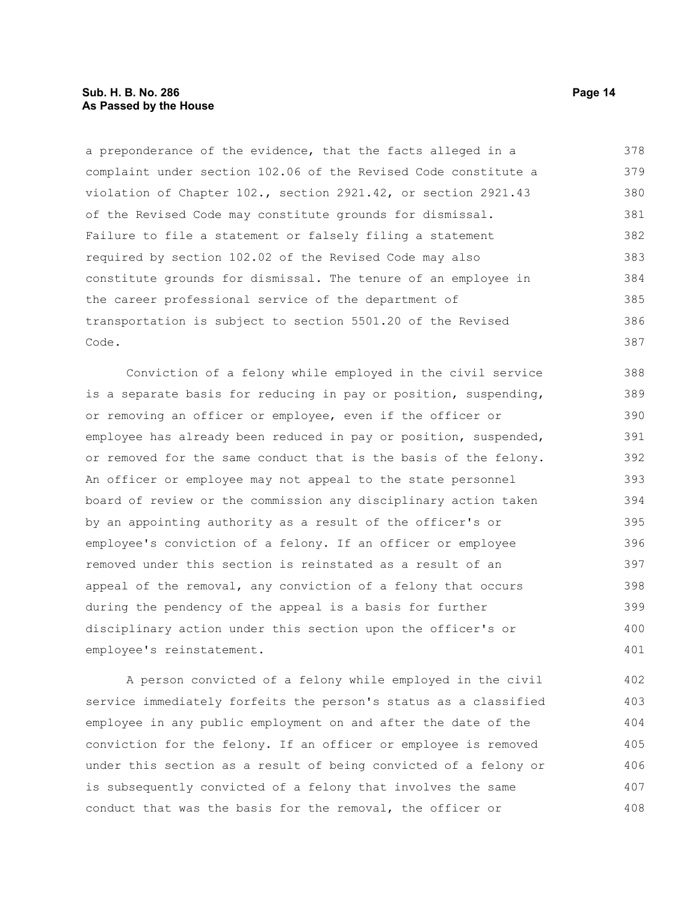#### **Sub. H. B. No. 286 Page 14 As Passed by the House**

a preponderance of the evidence, that the facts alleged in a complaint under section 102.06 of the Revised Code constitute a violation of Chapter 102., section 2921.42, or section 2921.43 of the Revised Code may constitute grounds for dismissal. Failure to file a statement or falsely filing a statement required by section 102.02 of the Revised Code may also constitute grounds for dismissal. The tenure of an employee in the career professional service of the department of transportation is subject to section 5501.20 of the Revised Code. 378 379 380 381 382 383 384 385 386 387

Conviction of a felony while employed in the civil service is a separate basis for reducing in pay or position, suspending, or removing an officer or employee, even if the officer or employee has already been reduced in pay or position, suspended, or removed for the same conduct that is the basis of the felony. An officer or employee may not appeal to the state personnel board of review or the commission any disciplinary action taken by an appointing authority as a result of the officer's or employee's conviction of a felony. If an officer or employee removed under this section is reinstated as a result of an appeal of the removal, any conviction of a felony that occurs during the pendency of the appeal is a basis for further disciplinary action under this section upon the officer's or employee's reinstatement. 388 389 390 391 392 393 394 395 396 397 398 399 400 401

A person convicted of a felony while employed in the civil service immediately forfeits the person's status as a classified employee in any public employment on and after the date of the conviction for the felony. If an officer or employee is removed under this section as a result of being convicted of a felony or is subsequently convicted of a felony that involves the same conduct that was the basis for the removal, the officer or 402 403 404 405 406 407 408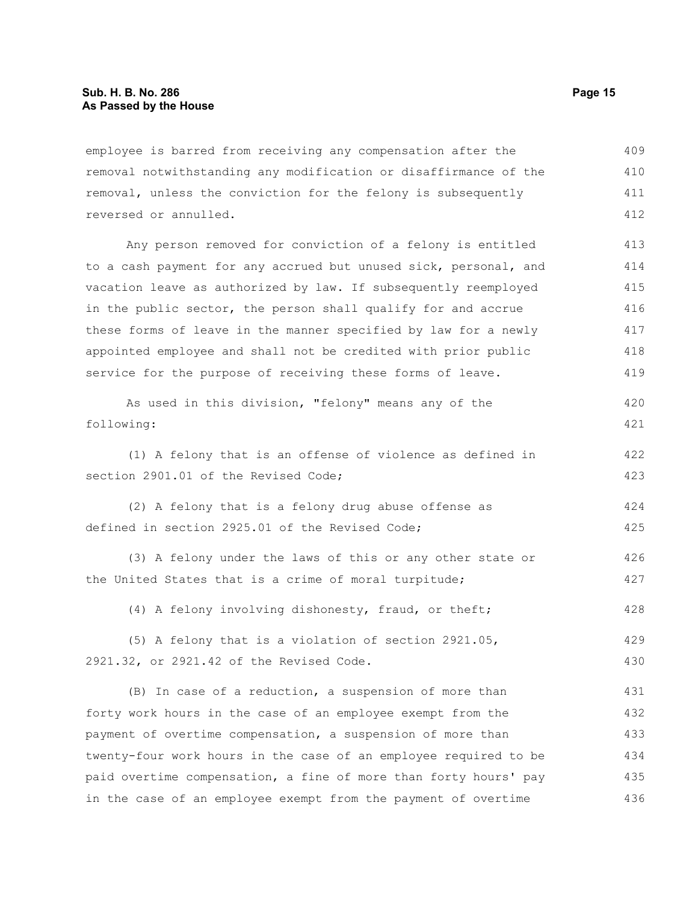employee is barred from receiving any compensation after the removal notwithstanding any modification or disaffirmance of the removal, unless the conviction for the felony is subsequently reversed or annulled. 409 410 411 412

Any person removed for conviction of a felony is entitled to a cash payment for any accrued but unused sick, personal, and vacation leave as authorized by law. If subsequently reemployed in the public sector, the person shall qualify for and accrue these forms of leave in the manner specified by law for a newly appointed employee and shall not be credited with prior public service for the purpose of receiving these forms of leave.

```
As used in this division, "felony" means any of the
following:
                                                                             420
                                                                             421
```
(1) A felony that is an offense of violence as defined in section 2901.01 of the Revised Code;

```
(2) A felony that is a felony drug abuse offense as
defined in section 2925.01 of the Revised Code;
                                                                             424
                                                                             425
```
(3) A felony under the laws of this or any other state or the United States that is a crime of moral turpitude; 426 427

(4) A felony involving dishonesty, fraud, or theft; 428

```
(5) A felony that is a violation of section 2921.05,
2921.32, or 2921.42 of the Revised Code.
                                                                            429
                                                                            430
```
(B) In case of a reduction, a suspension of more than forty work hours in the case of an employee exempt from the payment of overtime compensation, a suspension of more than twenty-four work hours in the case of an employee required to be paid overtime compensation, a fine of more than forty hours' pay in the case of an employee exempt from the payment of overtime 431 432 433 434 435 436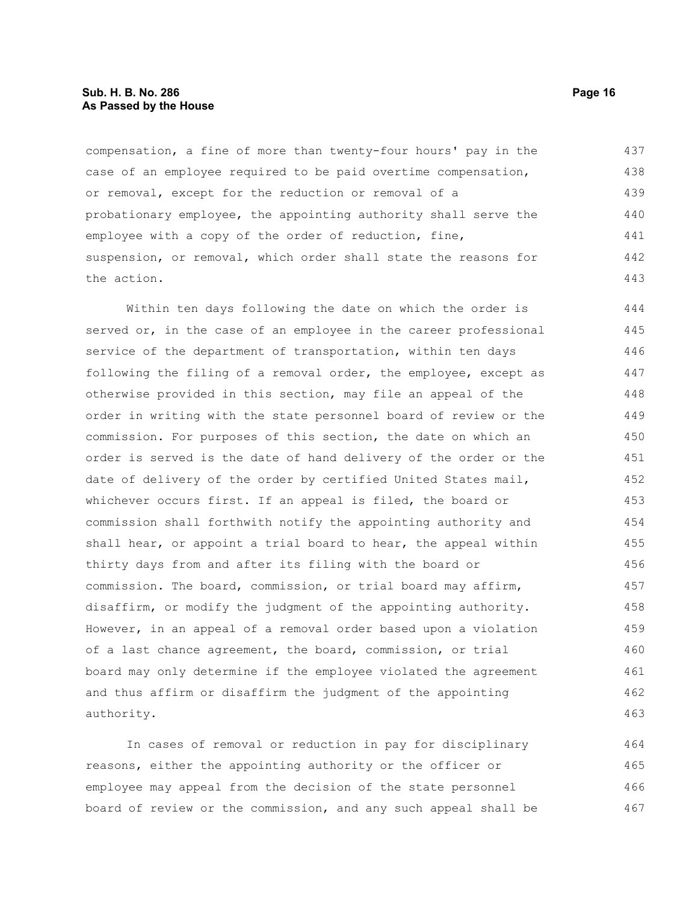#### **Sub. H. B. No. 286 Page 16 As Passed by the House**

compensation, a fine of more than twenty-four hours' pay in the case of an employee required to be paid overtime compensation, or removal, except for the reduction or removal of a probationary employee, the appointing authority shall serve the employee with a copy of the order of reduction, fine, suspension, or removal, which order shall state the reasons for the action. 437 438 439 440 441 442 443

Within ten days following the date on which the order is served or, in the case of an employee in the career professional service of the department of transportation, within ten days following the filing of a removal order, the employee, except as otherwise provided in this section, may file an appeal of the order in writing with the state personnel board of review or the commission. For purposes of this section, the date on which an order is served is the date of hand delivery of the order or the date of delivery of the order by certified United States mail, whichever occurs first. If an appeal is filed, the board or commission shall forthwith notify the appointing authority and shall hear, or appoint a trial board to hear, the appeal within thirty days from and after its filing with the board or commission. The board, commission, or trial board may affirm, disaffirm, or modify the judgment of the appointing authority. However, in an appeal of a removal order based upon a violation of a last chance agreement, the board, commission, or trial board may only determine if the employee violated the agreement and thus affirm or disaffirm the judgment of the appointing authority. 444 445 446 447 448 449 450 451 452 453 454 455 456 457 458 459 460 461 462 463

In cases of removal or reduction in pay for disciplinary reasons, either the appointing authority or the officer or employee may appeal from the decision of the state personnel board of review or the commission, and any such appeal shall be 464 465 466 467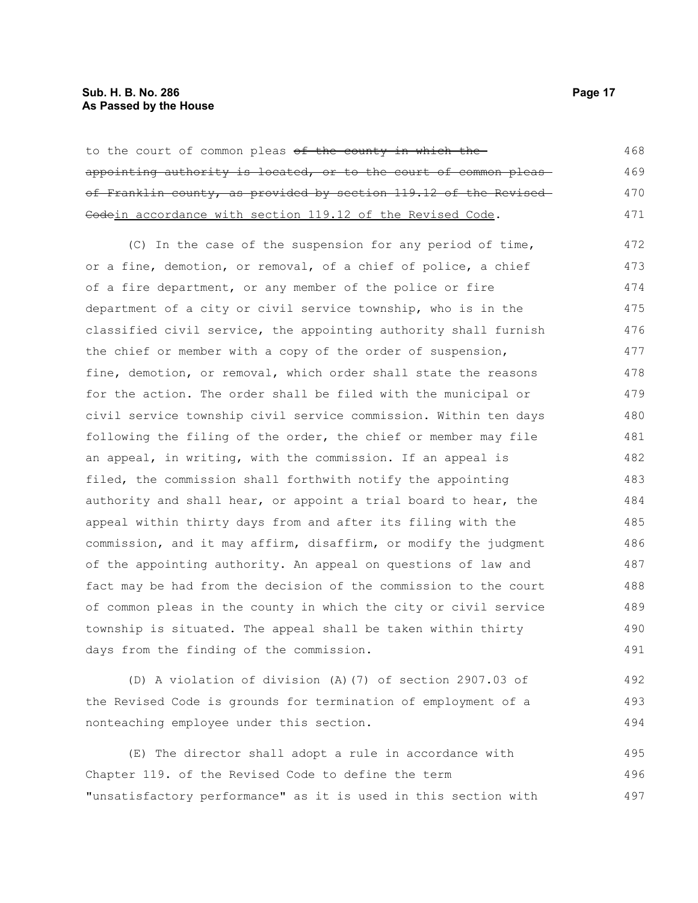### **Sub. H. B. No. 286 Page 17 As Passed by the House**

| to the court of common pleas of the county in which the          | 468 |
|------------------------------------------------------------------|-----|
| appointing authority is located, or to the court of common pleas | 469 |
| of Franklin county, as provided by section 119.12 of the Revised | 470 |
| Codein accordance with section 119.12 of the Revised Code.       | 471 |
| (C) In the case of the suspension for any period of time,        | 472 |
| or a fine, demotion, or removal, of a chief of police, a chief   | 473 |
| of a fire department, or any member of the police or fire        | 474 |
| department of a city or civil service township, who is in the    | 475 |
| classified civil service, the appointing authority shall furnish | 476 |
| the chief or member with a copy of the order of suspension,      | 477 |
| fine, demotion, or removal, which order shall state the reasons  | 478 |
| for the action. The order shall be filed with the municipal or   | 479 |
| civil service township civil service commission. Within ten days | 480 |
| following the filing of the order, the chief or member may file  | 481 |
| an appeal, in writing, with the commission. If an appeal is      | 482 |
| filed, the commission shall forthwith notify the appointing      | 483 |
| authority and shall hear, or appoint a trial board to hear, the  | 484 |
| appeal within thirty days from and after its filing with the     | 485 |
| commission, and it may affirm, disaffirm, or modify the judgment | 486 |
| of the appointing authority. An appeal on questions of law and   | 487 |
| fact may be had from the decision of the commission to the court | 488 |
| of common pleas in the county in which the city or civil service | 489 |
| township is situated. The appeal shall be taken within thirty    | 490 |
| days from the finding of the commission.                         | 491 |
|                                                                  |     |

(D) A violation of division (A)(7) of section 2907.03 of the Revised Code is grounds for termination of employment of a nonteaching employee under this section. 492 493 494

(E) The director shall adopt a rule in accordance with Chapter 119. of the Revised Code to define the term "unsatisfactory performance" as it is used in this section with 495 496 497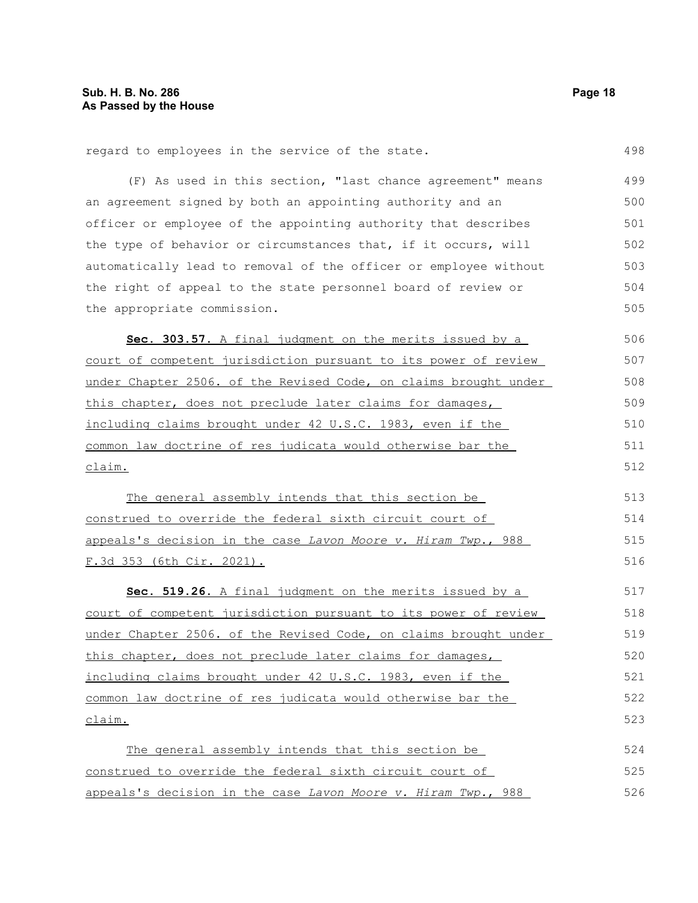regard to employees in the service of the state. (F) As used in this section, "last chance agreement" means an agreement signed by both an appointing authority and an officer or employee of the appointing authority that describes the type of behavior or circumstances that, if it occurs, will automatically lead to removal of the officer or employee without the right of appeal to the state personnel board of review or the appropriate commission. **Sec. 303.57.** A final judgment on the merits issued by a court of competent jurisdiction pursuant to its power of review under Chapter 2506. of the Revised Code, on claims brought under this chapter, does not preclude later claims for damages, including claims brought under 42 U.S.C. 1983, even if the common law doctrine of res judicata would otherwise bar the claim. The general assembly intends that this section be construed to override the federal sixth circuit court of appeals's decision in the case *Lavon Moore v. Hiram Twp* ., 988 F.3d 353 (6th Cir. 2021). **Sec. 519.26.** A final judgment on the merits issued by a court of competent jurisdiction pursuant to its power of review under Chapter 2506. of the Revised Code, on claims brought under this chapter, does not preclude later claims for damages, including claims brought under 42 U.S.C. 1983, even if the common law doctrine of res judicata would otherwise bar the claim. The general assembly intends that this section be construed to override the federal sixth circuit court of 498 499 500 501 502 503 504 505 506 507 508 509 510 511 512 513 514 515 516 517 518 519 520 521 522 523 524 525

appeals's decision in the case *Lavon Moore v. Hiram Twp.* , 988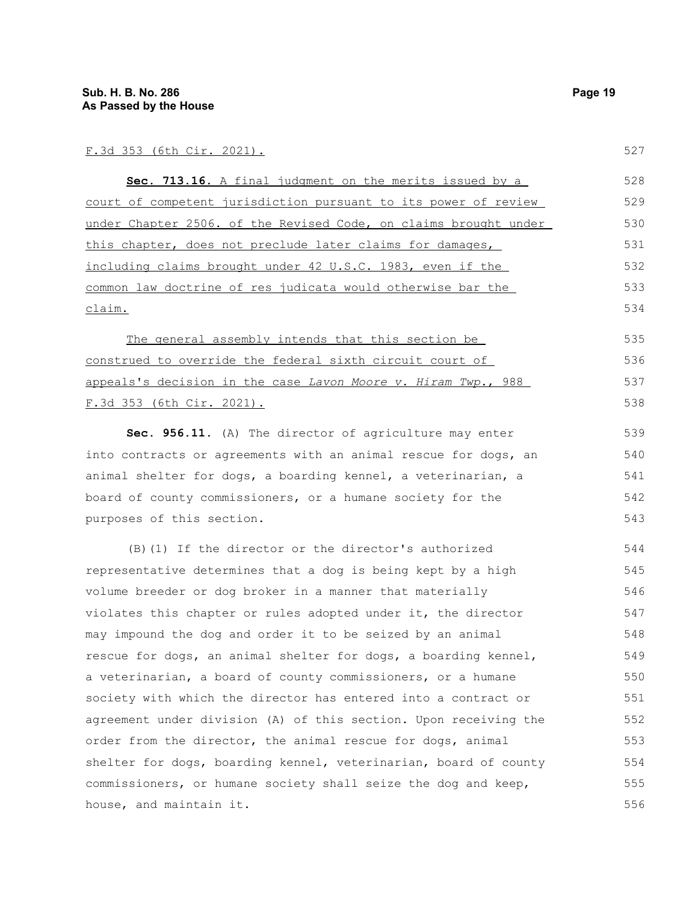## F.3d 353 (6th Cir. 2021).

| Sec. 713.16. A final judgment on the merits issued by a          | 528 |
|------------------------------------------------------------------|-----|
| court of competent jurisdiction pursuant to its power of review  | 529 |
| under Chapter 2506. of the Revised Code, on claims brought under | 530 |
| this chapter, does not preclude later claims for damages,        | 531 |
| including claims brought under 42 U.S.C. 1983, even if the       | 532 |
| common law doctrine of res judicata would otherwise bar the      | 533 |
| claim.                                                           | 534 |
| The general assembly intends that this section be                | 535 |
| construed to override the federal sixth circuit court of         | 536 |
| appeals's decision in the case Lavon Moore v. Hiram Twp., 988    | 537 |
| F.3d 353 (6th Cir. 2021).                                        | 538 |
|                                                                  |     |
| Sec. 956.11. (A) The director of agriculture may enter           | 539 |
| into contracts or agreements with an animal rescue for dogs, an  | 540 |
| animal shelter for dogs, a boarding kennel, a veterinarian, a    | 541 |
| board of county commissioners, or a humane society for the       | 542 |
| purposes of this section.                                        | 543 |
| (B) (1) If the director or the director's authorized             | 544 |
| representative determines that a dog is being kept by a high     | 545 |
| volume breeder or dog broker in a manner that materially         | 546 |
| violates this chapter or rules adopted under it, the director    | 547 |
| may impound the dog and order it to be seized by an animal       | 548 |
| rescue for dogs, an animal shelter for dogs, a boarding kennel,  | 549 |
| a veterinarian, a board of county commissioners, or a humane     | 550 |
| society with which the director has entered into a contract or   | 551 |
| agreement under division (A) of this section. Upon receiving the | 552 |
| order from the director, the animal rescue for dogs, animal      | 553 |
| shelter for dogs, boarding kennel, veterinarian, board of county | 554 |
| commissioners, or humane society shall seize the dog and keep,   | 555 |
| house, and maintain it.                                          | 556 |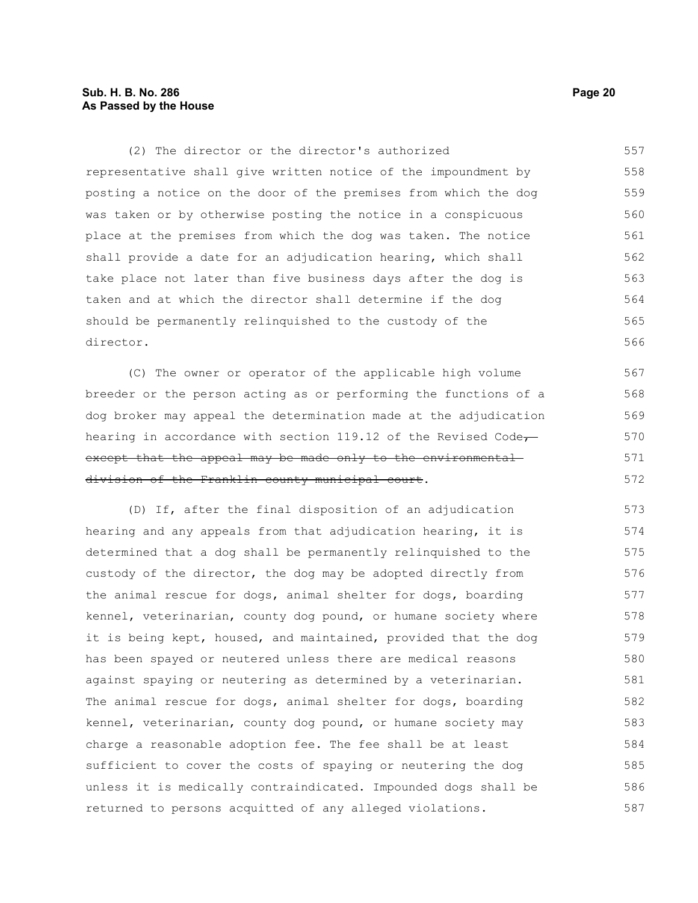#### **Sub. H. B. No. 286 Page 20 As Passed by the House**

| (2) The director or the director's authorized                   | 557 |
|-----------------------------------------------------------------|-----|
| representative shall give written notice of the impoundment by  | 558 |
| posting a notice on the door of the premises from which the dog | 559 |
| was taken or by otherwise posting the notice in a conspicuous   | 560 |
| place at the premises from which the dog was taken. The notice  | 561 |
| shall provide a date for an adjudication hearing, which shall   | 562 |
| take place not later than five business days after the dog is   | 563 |
| taken and at which the director shall determine if the dog      | 564 |
| should be permanently relinquished to the custody of the        | 565 |
| director.                                                       | 566 |
| (C) The owner or operator of the applicable high volume         | 567 |

(C) The owner or operator of the applicable high volume breeder or the person acting as or performing the functions of a dog broker may appeal the determination made at the adjudication hearing in accordance with section 119.12 of the Revised Code $\tau$ except that the appeal may be made only to the environmental division of the Franklin county municipal court. 568 569 570 571 572

(D) If, after the final disposition of an adjudication hearing and any appeals from that adjudication hearing, it is determined that a dog shall be permanently relinquished to the custody of the director, the dog may be adopted directly from the animal rescue for dogs, animal shelter for dogs, boarding kennel, veterinarian, county dog pound, or humane society where it is being kept, housed, and maintained, provided that the dog has been spayed or neutered unless there are medical reasons against spaying or neutering as determined by a veterinarian. The animal rescue for dogs, animal shelter for dogs, boarding kennel, veterinarian, county dog pound, or humane society may charge a reasonable adoption fee. The fee shall be at least sufficient to cover the costs of spaying or neutering the dog unless it is medically contraindicated. Impounded dogs shall be returned to persons acquitted of any alleged violations. 573 574 575 576 577 578 579 580 581 582 583 584 585 586 587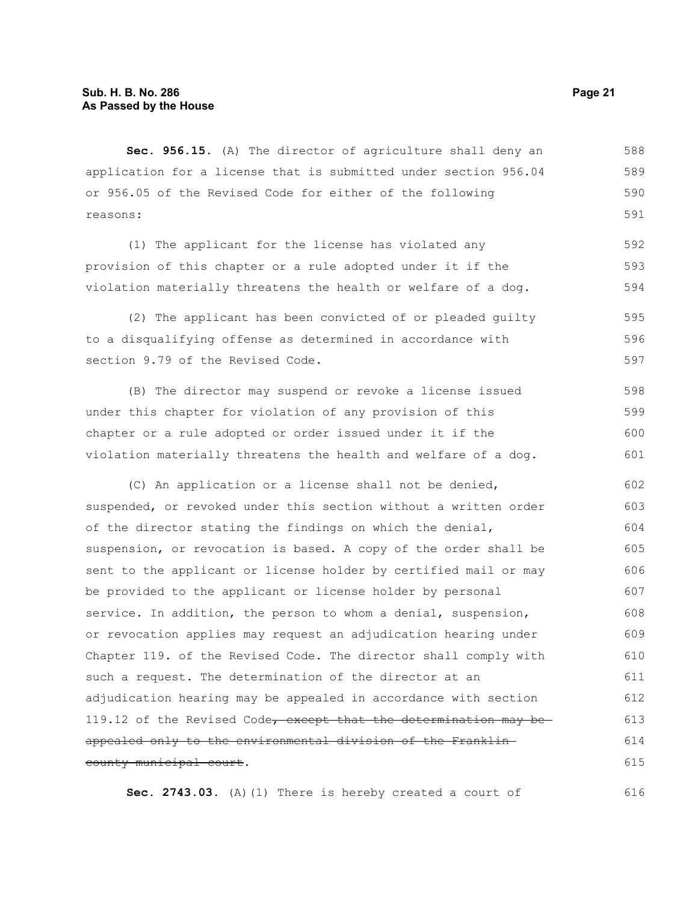**Sec. 956.15.** (A) The director of agriculture shall deny an application for a license that is submitted under section 956.04 or 956.05 of the Revised Code for either of the following reasons: 588 589 590 591

(1) The applicant for the license has violated any provision of this chapter or a rule adopted under it if the violation materially threatens the health or welfare of a dog. 592 593 594

(2) The applicant has been convicted of or pleaded guilty to a disqualifying offense as determined in accordance with section 9.79 of the Revised Code. 595 596 597

(B) The director may suspend or revoke a license issued under this chapter for violation of any provision of this chapter or a rule adopted or order issued under it if the violation materially threatens the health and welfare of a dog. 598 599 600 601

(C) An application or a license shall not be denied, suspended, or revoked under this section without a written order of the director stating the findings on which the denial, suspension, or revocation is based. A copy of the order shall be sent to the applicant or license holder by certified mail or may be provided to the applicant or license holder by personal service. In addition, the person to whom a denial, suspension, or revocation applies may request an adjudication hearing under Chapter 119. of the Revised Code. The director shall comply with such a request. The determination of the director at an adjudication hearing may be appealed in accordance with section 119.12 of the Revised Code, except that the determination may be appealed only to the environmental division of the Franklin county municipal court. 602 603 604 605 606 607 608 609 610 611 612 613 614 615

Sec. 2743.03. (A)(1) There is hereby created a court of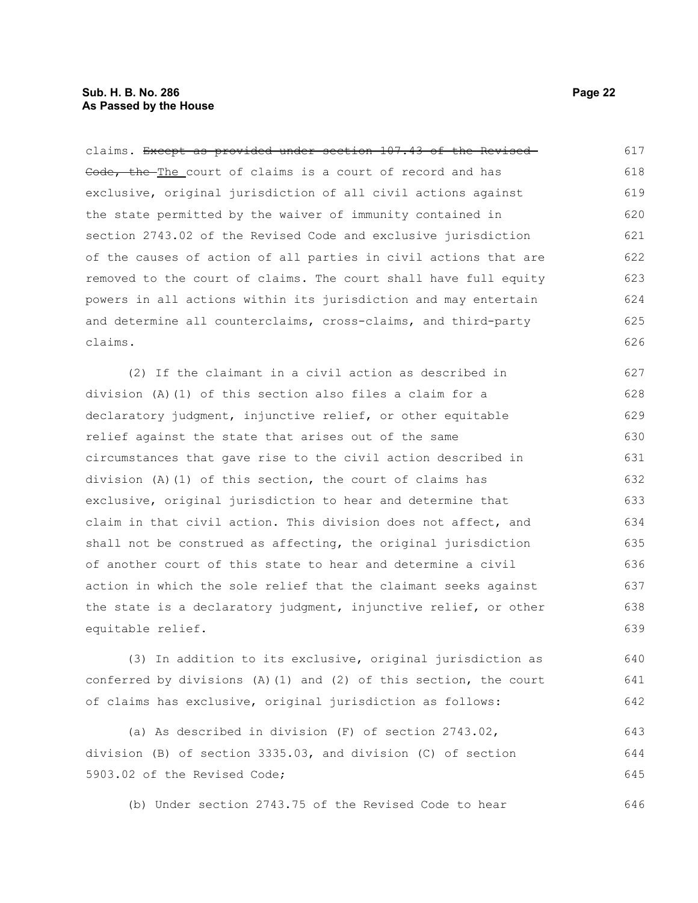#### **Sub. H. B. No. 286 Page 22 As Passed by the House**

claims. Except as provided under section 107.43 of the Revised-Code, the The court of claims is a court of record and has exclusive, original jurisdiction of all civil actions against the state permitted by the waiver of immunity contained in section 2743.02 of the Revised Code and exclusive jurisdiction of the causes of action of all parties in civil actions that are removed to the court of claims. The court shall have full equity powers in all actions within its jurisdiction and may entertain and determine all counterclaims, cross-claims, and third-party claims. 617 618 619 620 621 622 623 624 625 626

(2) If the claimant in a civil action as described in division (A)(1) of this section also files a claim for a declaratory judgment, injunctive relief, or other equitable relief against the state that arises out of the same circumstances that gave rise to the civil action described in division (A)(1) of this section, the court of claims has exclusive, original jurisdiction to hear and determine that claim in that civil action. This division does not affect, and shall not be construed as affecting, the original jurisdiction of another court of this state to hear and determine a civil action in which the sole relief that the claimant seeks against the state is a declaratory judgment, injunctive relief, or other equitable relief. 627 628 629 630 631 632 633 634 635 636 637 638 639

(3) In addition to its exclusive, original jurisdiction as conferred by divisions (A)(1) and (2) of this section, the court of claims has exclusive, original jurisdiction as follows:

(a) As described in division (F) of section 2743.02, division (B) of section 3335.03, and division (C) of section 5903.02 of the Revised Code; 643 644 645

(b) Under section 2743.75 of the Revised Code to hear

640 641 642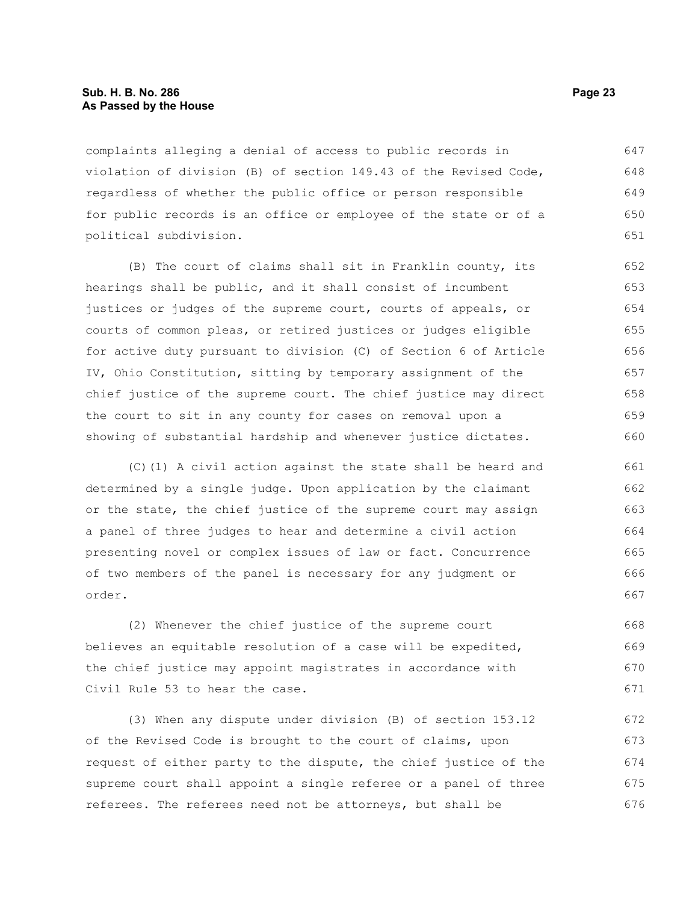#### **Sub. H. B. No. 286 Page 23 As Passed by the House**

complaints alleging a denial of access to public records in violation of division (B) of section 149.43 of the Revised Code, regardless of whether the public office or person responsible for public records is an office or employee of the state or of a political subdivision. 647 648 649 650 651

(B) The court of claims shall sit in Franklin county, its hearings shall be public, and it shall consist of incumbent justices or judges of the supreme court, courts of appeals, or courts of common pleas, or retired justices or judges eligible for active duty pursuant to division (C) of Section 6 of Article IV, Ohio Constitution, sitting by temporary assignment of the chief justice of the supreme court. The chief justice may direct the court to sit in any county for cases on removal upon a showing of substantial hardship and whenever justice dictates. 652 653 654 655 656 657 658 659 660

(C)(1) A civil action against the state shall be heard and determined by a single judge. Upon application by the claimant or the state, the chief justice of the supreme court may assign a panel of three judges to hear and determine a civil action presenting novel or complex issues of law or fact. Concurrence of two members of the panel is necessary for any judgment or order.

(2) Whenever the chief justice of the supreme court believes an equitable resolution of a case will be expedited, the chief justice may appoint magistrates in accordance with Civil Rule 53 to hear the case. 668 669 670 671

(3) When any dispute under division (B) of section 153.12 of the Revised Code is brought to the court of claims, upon request of either party to the dispute, the chief justice of the supreme court shall appoint a single referee or a panel of three referees. The referees need not be attorneys, but shall be 672 673 674 675 676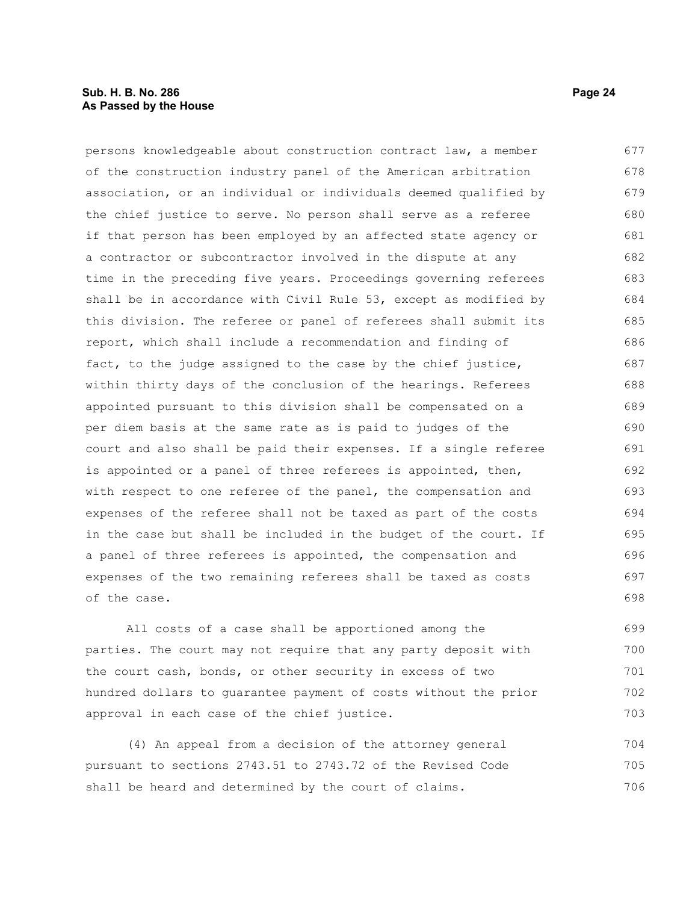#### **Sub. H. B. No. 286 Page 24 As Passed by the House**

persons knowledgeable about construction contract law, a member of the construction industry panel of the American arbitration association, or an individual or individuals deemed qualified by the chief justice to serve. No person shall serve as a referee if that person has been employed by an affected state agency or a contractor or subcontractor involved in the dispute at any time in the preceding five years. Proceedings governing referees shall be in accordance with Civil Rule 53, except as modified by this division. The referee or panel of referees shall submit its report, which shall include a recommendation and finding of fact, to the judge assigned to the case by the chief justice, within thirty days of the conclusion of the hearings. Referees appointed pursuant to this division shall be compensated on a per diem basis at the same rate as is paid to judges of the court and also shall be paid their expenses. If a single referee is appointed or a panel of three referees is appointed, then, with respect to one referee of the panel, the compensation and expenses of the referee shall not be taxed as part of the costs in the case but shall be included in the budget of the court. If a panel of three referees is appointed, the compensation and expenses of the two remaining referees shall be taxed as costs of the case. 677 678 679 680 681 682 683 684 685 686 687 688 689 690 691 692 693 694 695 696 697 698

All costs of a case shall be apportioned among the parties. The court may not require that any party deposit with the court cash, bonds, or other security in excess of two hundred dollars to guarantee payment of costs without the prior approval in each case of the chief justice. 699 700 701 702 703

(4) An appeal from a decision of the attorney general pursuant to sections 2743.51 to 2743.72 of the Revised Code shall be heard and determined by the court of claims. 704 705 706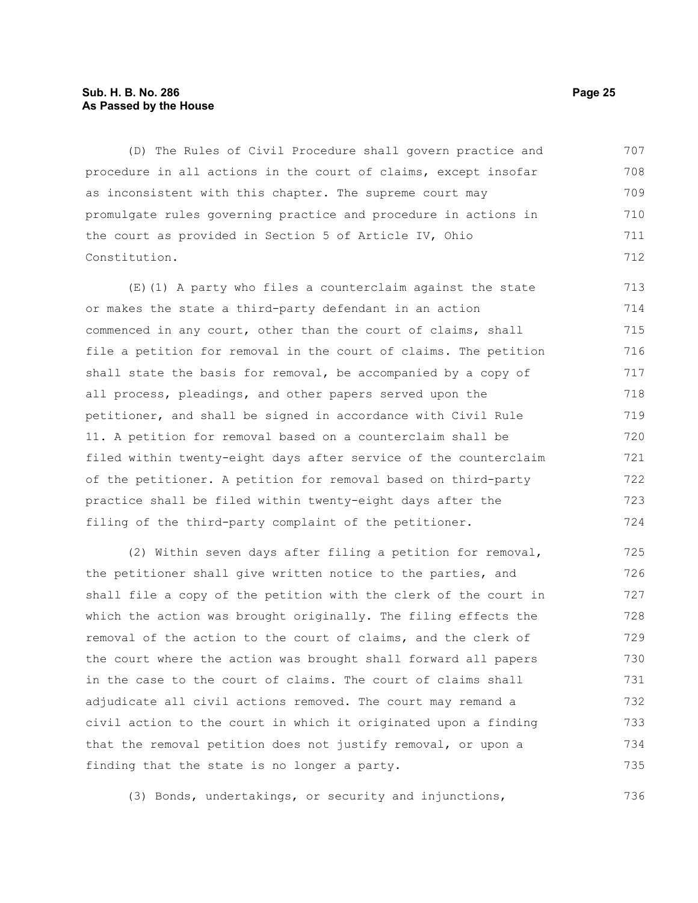#### **Sub. H. B. No. 286 Page 25 As Passed by the House**

(D) The Rules of Civil Procedure shall govern practice and procedure in all actions in the court of claims, except insofar as inconsistent with this chapter. The supreme court may promulgate rules governing practice and procedure in actions in the court as provided in Section 5 of Article IV, Ohio Constitution. 707 708 709 710 711 712

(E)(1) A party who files a counterclaim against the state or makes the state a third-party defendant in an action commenced in any court, other than the court of claims, shall file a petition for removal in the court of claims. The petition shall state the basis for removal, be accompanied by a copy of all process, pleadings, and other papers served upon the petitioner, and shall be signed in accordance with Civil Rule 11. A petition for removal based on a counterclaim shall be filed within twenty-eight days after service of the counterclaim of the petitioner. A petition for removal based on third-party practice shall be filed within twenty-eight days after the filing of the third-party complaint of the petitioner. 713 714 715 716 717 718 719 720 721 722 723 724

(2) Within seven days after filing a petition for removal, the petitioner shall give written notice to the parties, and shall file a copy of the petition with the clerk of the court in which the action was brought originally. The filing effects the removal of the action to the court of claims, and the clerk of the court where the action was brought shall forward all papers in the case to the court of claims. The court of claims shall adjudicate all civil actions removed. The court may remand a civil action to the court in which it originated upon a finding that the removal petition does not justify removal, or upon a finding that the state is no longer a party. 725 726 727 728 729 730 731 732 733 734 735

(3) Bonds, undertakings, or security and injunctions,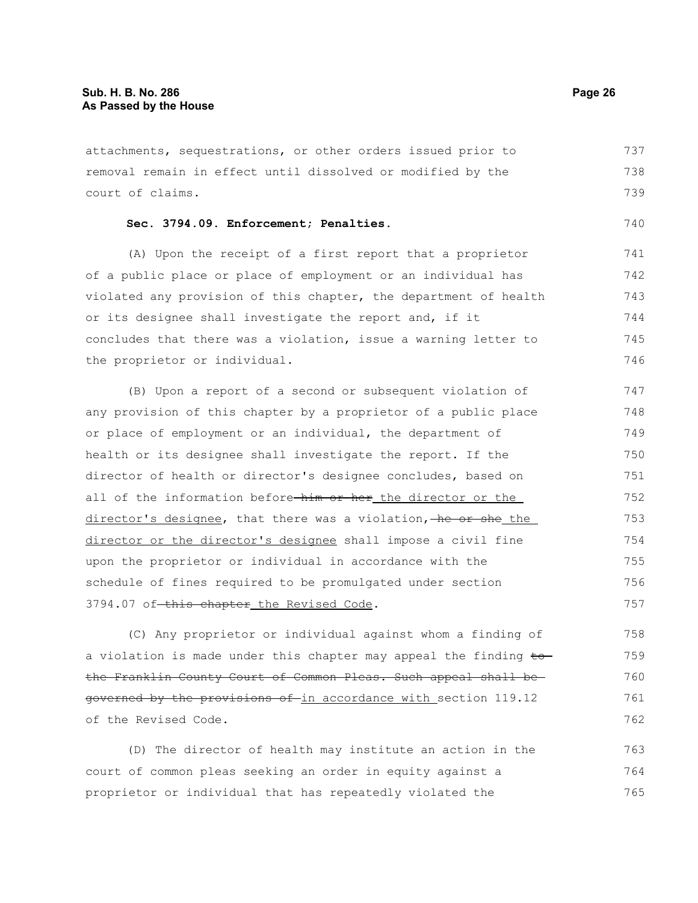attachments, sequestrations, or other orders issued prior to removal remain in effect until dissolved or modified by the court of claims. 737 738 739

#### **Sec. 3794.09. Enforcement; Penalties.**

(A) Upon the receipt of a first report that a proprietor of a public place or place of employment or an individual has violated any provision of this chapter, the department of health or its designee shall investigate the report and, if it concludes that there was a violation, issue a warning letter to the proprietor or individual. 741 742 743 744 745 746

(B) Upon a report of a second or subsequent violation of any provision of this chapter by a proprietor of a public place or place of employment or an individual, the department of health or its designee shall investigate the report. If the director of health or director's designee concludes, based on all of the information before-him or her the director or the director's designee, that there was a violation, he or she the director or the director's designee shall impose a civil fine upon the proprietor or individual in accordance with the schedule of fines required to be promulgated under section 3794.07 of-this chapter the Revised Code. 747 748 749 750 751 752 753 754 755 756 757

(C) Any proprietor or individual against whom a finding of a violation is made under this chapter may appeal the finding to the Franklin County Court of Common Pleas. Such appeal shall be governed by the provisions of in accordance with section 119.12 of the Revised Code. 758 759 760 761 762

(D) The director of health may institute an action in the court of common pleas seeking an order in equity against a proprietor or individual that has repeatedly violated the 763 764 765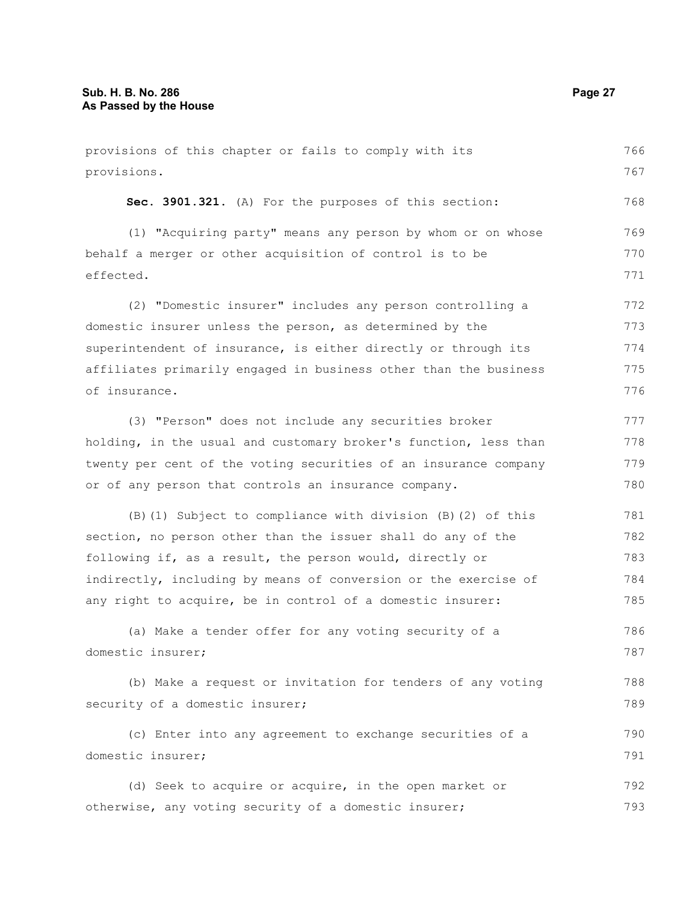| provisions of this chapter or fails to comply with its           | 766 |
|------------------------------------------------------------------|-----|
| provisions.                                                      | 767 |
| Sec. 3901.321. (A) For the purposes of this section:             | 768 |
| (1) "Acquiring party" means any person by whom or on whose       | 769 |
| behalf a merger or other acquisition of control is to be         | 770 |
| effected.                                                        | 771 |
| (2) "Domestic insurer" includes any person controlling a         | 772 |
| domestic insurer unless the person, as determined by the         | 773 |
| superintendent of insurance, is either directly or through its   | 774 |
| affiliates primarily engaged in business other than the business | 775 |
| of insurance.                                                    | 776 |
| (3) "Person" does not include any securities broker              | 777 |
| holding, in the usual and customary broker's function, less than | 778 |
| twenty per cent of the voting securities of an insurance company | 779 |
| or of any person that controls an insurance company.             | 780 |
| (B) (1) Subject to compliance with division (B) (2) of this      | 781 |
| section, no person other than the issuer shall do any of the     | 782 |
| following if, as a result, the person would, directly or         | 783 |
| indirectly, including by means of conversion or the exercise of  | 784 |
| any right to acquire, be in control of a domestic insurer:       | 785 |
| (a) Make a tender offer for any voting security of a             | 786 |
| domestic insurer;                                                | 787 |
| (b) Make a request or invitation for tenders of any voting       | 788 |
| security of a domestic insurer;                                  | 789 |
| (c) Enter into any agreement to exchange securities of a         | 790 |
| domestic insurer;                                                | 791 |
| (d) Seek to acquire or acquire, in the open market or            | 792 |
| otherwise, any voting security of a domestic insurer;            | 793 |
|                                                                  |     |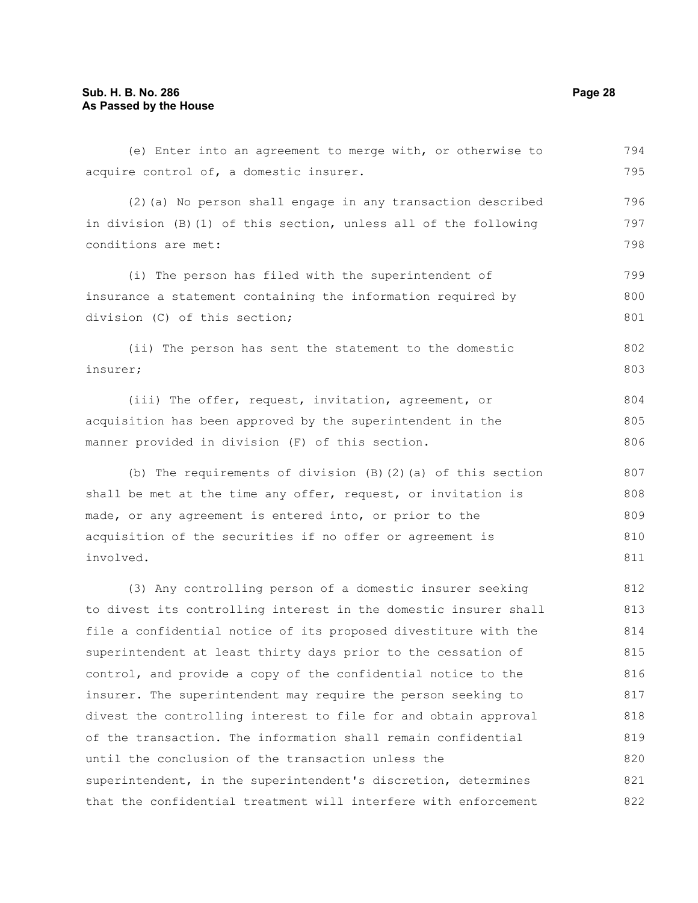#### **Sub. H. B. No. 286 Page 28 As Passed by the House**

(e) Enter into an agreement to merge with, or otherwise to acquire control of, a domestic insurer. 794 795

(2)(a) No person shall engage in any transaction described in division (B)(1) of this section, unless all of the following conditions are met: 796 797 798

(i) The person has filed with the superintendent of insurance a statement containing the information required by division (C) of this section; 799 800 801

(ii) The person has sent the statement to the domestic insurer; 802 803

(iii) The offer, request, invitation, agreement, or acquisition has been approved by the superintendent in the manner provided in division (F) of this section. 804 805 806

(b) The requirements of division (B)(2)(a) of this section shall be met at the time any offer, request, or invitation is made, or any agreement is entered into, or prior to the acquisition of the securities if no offer or agreement is involved. 807 808 809 810 811

(3) Any controlling person of a domestic insurer seeking to divest its controlling interest in the domestic insurer shall file a confidential notice of its proposed divestiture with the superintendent at least thirty days prior to the cessation of control, and provide a copy of the confidential notice to the insurer. The superintendent may require the person seeking to divest the controlling interest to file for and obtain approval of the transaction. The information shall remain confidential until the conclusion of the transaction unless the superintendent, in the superintendent's discretion, determines that the confidential treatment will interfere with enforcement 812 813 814 815 816 817 818 819 820 821 822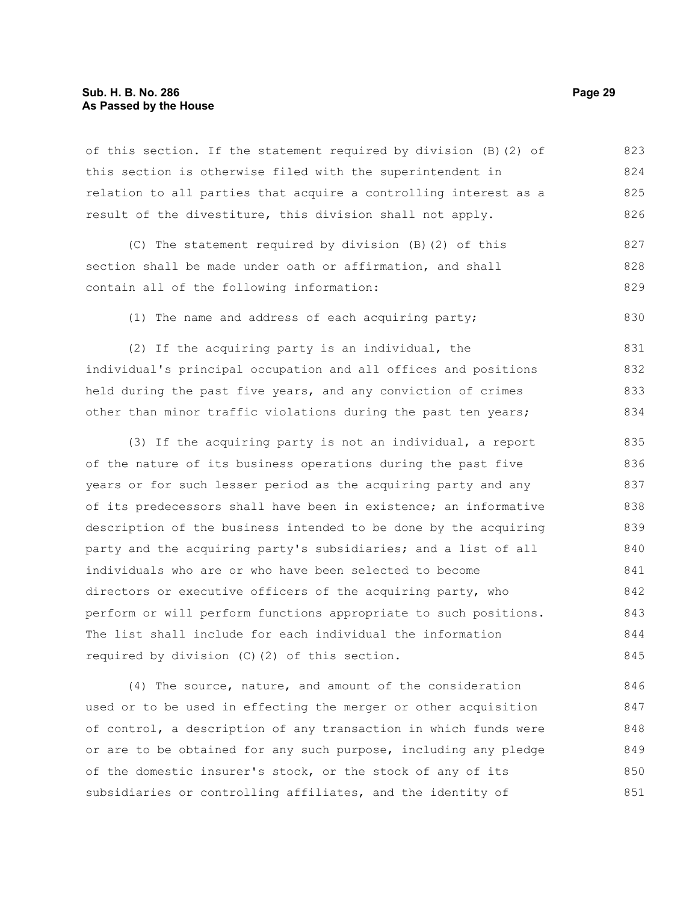#### **Sub. H. B. No. 286 Page 29 As Passed by the House**

of this section. If the statement required by division (B)(2) of this section is otherwise filed with the superintendent in relation to all parties that acquire a controlling interest as a result of the divestiture, this division shall not apply. (C) The statement required by division (B)(2) of this section shall be made under oath or affirmation, and shall contain all of the following information: (1) The name and address of each acquiring party; (2) If the acquiring party is an individual, the individual's principal occupation and all offices and positions held during the past five years, and any conviction of crimes other than minor traffic violations during the past ten years; (3) If the acquiring party is not an individual, a report of the nature of its business operations during the past five years or for such lesser period as the acquiring party and any of its predecessors shall have been in existence; an informative description of the business intended to be done by the acquiring party and the acquiring party's subsidiaries; and a list of all individuals who are or who have been selected to become directors or executive officers of the acquiring party, who 823 824 825 826 827 828 829 830 831 832 833 834 835 836 837 838 839 840 841 842

perform or will perform functions appropriate to such positions. The list shall include for each individual the information required by division (C)(2) of this section. 843 844 845

(4) The source, nature, and amount of the consideration used or to be used in effecting the merger or other acquisition of control, a description of any transaction in which funds were or are to be obtained for any such purpose, including any pledge of the domestic insurer's stock, or the stock of any of its subsidiaries or controlling affiliates, and the identity of 846 847 848 849 850 851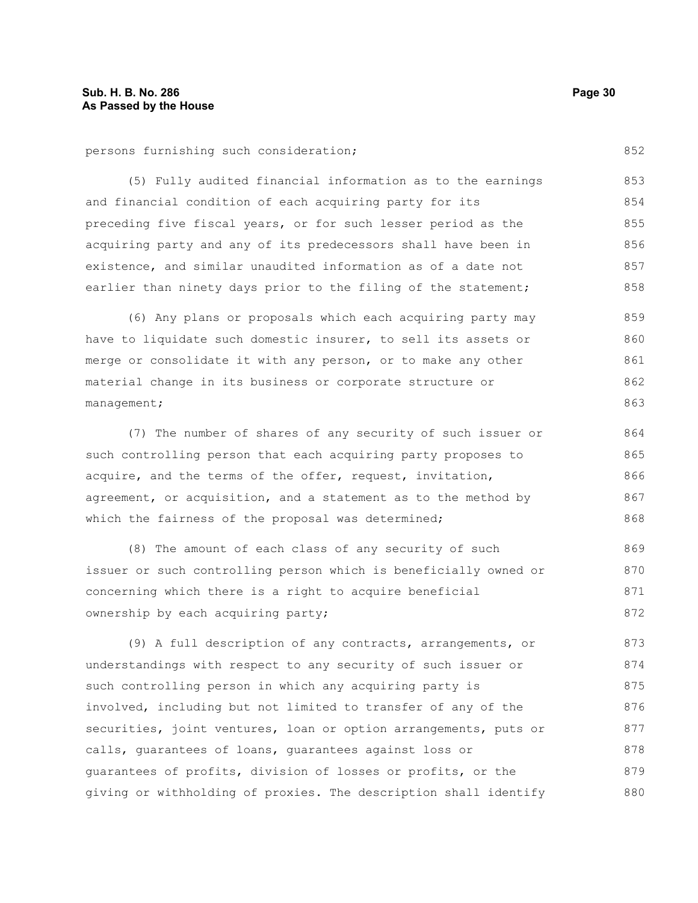persons furnishing such consideration;

(5) Fully audited financial information as to the earnings and financial condition of each acquiring party for its preceding five fiscal years, or for such lesser period as the acquiring party and any of its predecessors shall have been in existence, and similar unaudited information as of a date not earlier than ninety days prior to the filing of the statement; 853 854 855 856 857 858

(6) Any plans or proposals which each acquiring party may have to liquidate such domestic insurer, to sell its assets or merge or consolidate it with any person, or to make any other material change in its business or corporate structure or management; 859 860 861 862 863

(7) The number of shares of any security of such issuer or such controlling person that each acquiring party proposes to acquire, and the terms of the offer, request, invitation, agreement, or acquisition, and a statement as to the method by which the fairness of the proposal was determined; 864 865 866 867 868

(8) The amount of each class of any security of such issuer or such controlling person which is beneficially owned or concerning which there is a right to acquire beneficial ownership by each acquiring party; 869 870 871 872

(9) A full description of any contracts, arrangements, or understandings with respect to any security of such issuer or such controlling person in which any acquiring party is involved, including but not limited to transfer of any of the securities, joint ventures, loan or option arrangements, puts or calls, guarantees of loans, guarantees against loss or guarantees of profits, division of losses or profits, or the giving or withholding of proxies. The description shall identify 873 874 875 876 877 878 879 880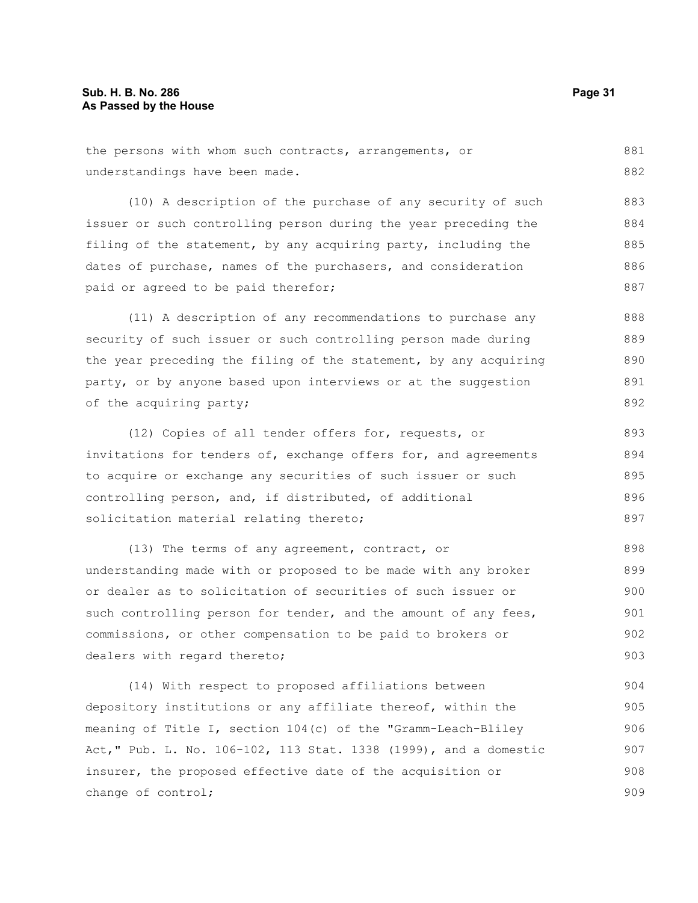the persons with whom such contracts, arrangements, or understandings have been made. 881 882

(10) A description of the purchase of any security of such issuer or such controlling person during the year preceding the filing of the statement, by any acquiring party, including the dates of purchase, names of the purchasers, and consideration paid or agreed to be paid therefor; 883 884 886 887

(11) A description of any recommendations to purchase any security of such issuer or such controlling person made during the year preceding the filing of the statement, by any acquiring party, or by anyone based upon interviews or at the suggestion of the acquiring party; 888 889 890 891 892

(12) Copies of all tender offers for, requests, or invitations for tenders of, exchange offers for, and agreements to acquire or exchange any securities of such issuer or such controlling person, and, if distributed, of additional solicitation material relating thereto; 893 894 895 896 897

(13) The terms of any agreement, contract, or understanding made with or proposed to be made with any broker or dealer as to solicitation of securities of such issuer or such controlling person for tender, and the amount of any fees, commissions, or other compensation to be paid to brokers or dealers with regard thereto; 898 899 900 901 902 903

(14) With respect to proposed affiliations between depository institutions or any affiliate thereof, within the meaning of Title I, section 104(c) of the "Gramm-Leach-Bliley Act," Pub. L. No. 106-102, 113 Stat. 1338 (1999), and a domestic insurer, the proposed effective date of the acquisition or change of control; 904 905 906 907 908 909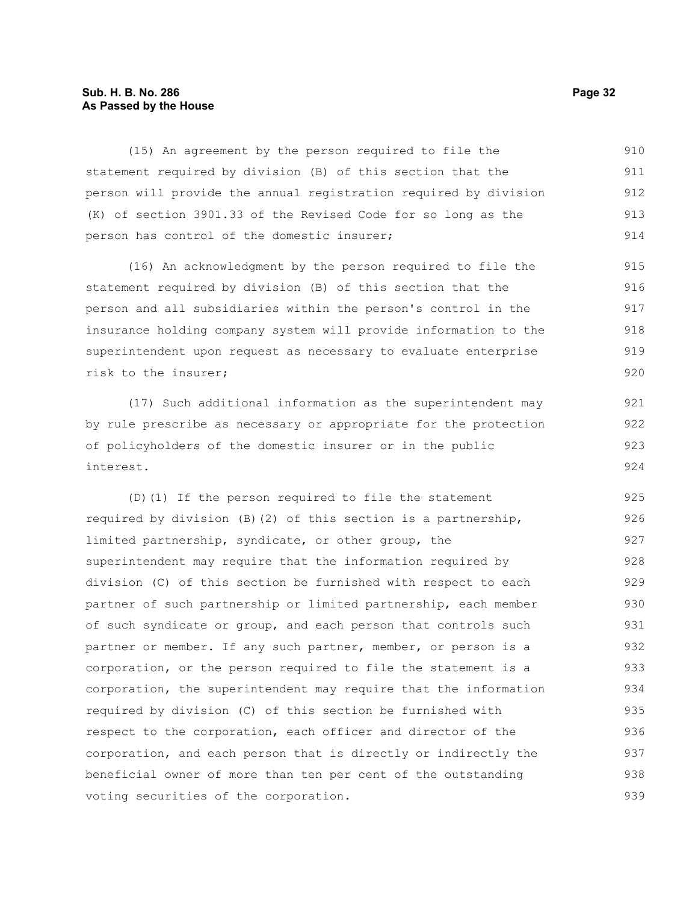#### **Sub. H. B. No. 286 Page 32 As Passed by the House**

(15) An agreement by the person required to file the statement required by division (B) of this section that the person will provide the annual registration required by division (K) of section 3901.33 of the Revised Code for so long as the person has control of the domestic insurer; 910 911 912 913 914

(16) An acknowledgment by the person required to file the statement required by division (B) of this section that the person and all subsidiaries within the person's control in the insurance holding company system will provide information to the superintendent upon request as necessary to evaluate enterprise risk to the insurer;

(17) Such additional information as the superintendent may by rule prescribe as necessary or appropriate for the protection of policyholders of the domestic insurer or in the public interest.

(D)(1) If the person required to file the statement required by division (B)(2) of this section is a partnership, limited partnership, syndicate, or other group, the superintendent may require that the information required by division (C) of this section be furnished with respect to each partner of such partnership or limited partnership, each member of such syndicate or group, and each person that controls such partner or member. If any such partner, member, or person is a corporation, or the person required to file the statement is a corporation, the superintendent may require that the information required by division (C) of this section be furnished with respect to the corporation, each officer and director of the corporation, and each person that is directly or indirectly the beneficial owner of more than ten per cent of the outstanding voting securities of the corporation. 925 926 927 928 929 930 931 932 933 934 935 936 937 938 939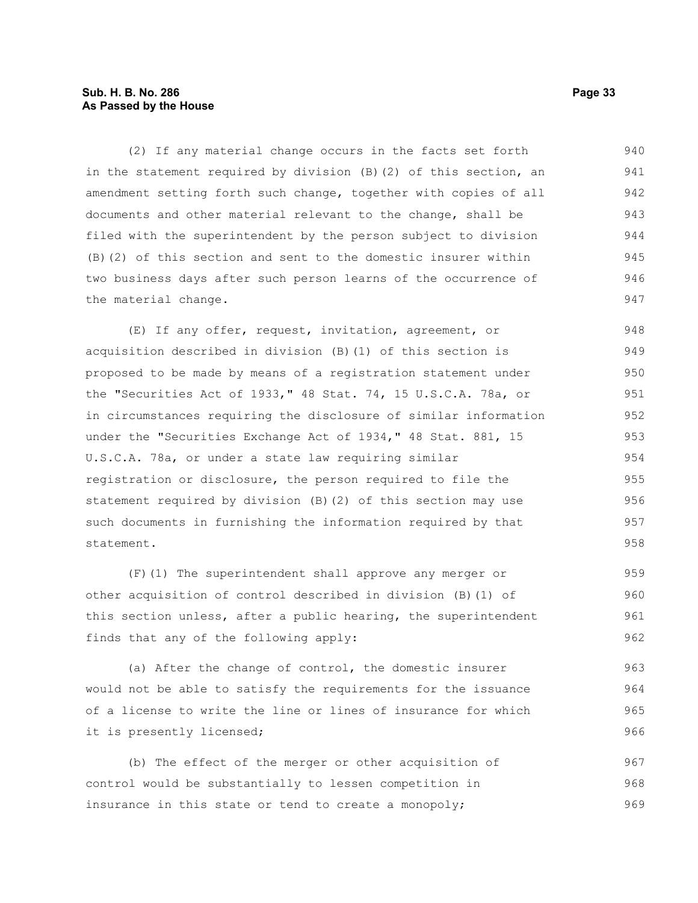### **Sub. H. B. No. 286 Page 33 As Passed by the House**

(2) If any material change occurs in the facts set forth in the statement required by division (B)(2) of this section, an amendment setting forth such change, together with copies of all documents and other material relevant to the change, shall be filed with the superintendent by the person subject to division (B)(2) of this section and sent to the domestic insurer within two business days after such person learns of the occurrence of the material change. 940 941 942 943 944 945 946 947

(E) If any offer, request, invitation, agreement, or acquisition described in division (B)(1) of this section is proposed to be made by means of a registration statement under the "Securities Act of 1933," 48 Stat. 74, 15 U.S.C.A. 78a, or in circumstances requiring the disclosure of similar information under the "Securities Exchange Act of 1934," 48 Stat. 881, 15 U.S.C.A. 78a, or under a state law requiring similar registration or disclosure, the person required to file the statement required by division (B)(2) of this section may use such documents in furnishing the information required by that statement. 948 949 950 951 952 953 954 955 956 957 958

(F)(1) The superintendent shall approve any merger or other acquisition of control described in division (B)(1) of this section unless, after a public hearing, the superintendent finds that any of the following apply: 959 960 961 962

(a) After the change of control, the domestic insurer would not be able to satisfy the requirements for the issuance of a license to write the line or lines of insurance for which it is presently licensed; 963 964 965 966

(b) The effect of the merger or other acquisition of control would be substantially to lessen competition in insurance in this state or tend to create a monopoly; 967 968 969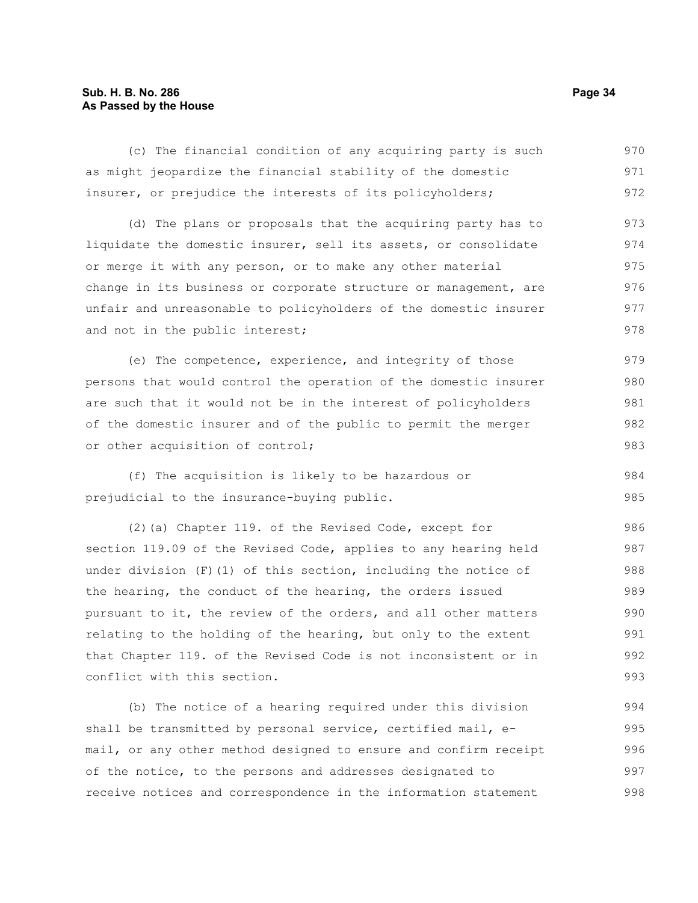#### **Sub. H. B. No. 286 Page 34 As Passed by the House**

(c) The financial condition of any acquiring party is such as might jeopardize the financial stability of the domestic insurer, or prejudice the interests of its policyholders; 970 971 972

(d) The plans or proposals that the acquiring party has to liquidate the domestic insurer, sell its assets, or consolidate or merge it with any person, or to make any other material change in its business or corporate structure or management, are unfair and unreasonable to policyholders of the domestic insurer and not in the public interest; 973 974 975 976 977 978

(e) The competence, experience, and integrity of those persons that would control the operation of the domestic insurer are such that it would not be in the interest of policyholders of the domestic insurer and of the public to permit the merger or other acquisition of control; 979 980 981 982 983

(f) The acquisition is likely to be hazardous or prejudicial to the insurance-buying public. 984 985

(2)(a) Chapter 119. of the Revised Code, except for section 119.09 of the Revised Code, applies to any hearing held under division  $(F)(1)$  of this section, including the notice of the hearing, the conduct of the hearing, the orders issued pursuant to it, the review of the orders, and all other matters relating to the holding of the hearing, but only to the extent that Chapter 119. of the Revised Code is not inconsistent or in conflict with this section. 986 987 988 989 990 991 992 993

(b) The notice of a hearing required under this division shall be transmitted by personal service, certified mail, email, or any other method designed to ensure and confirm receipt of the notice, to the persons and addresses designated to receive notices and correspondence in the information statement 994 995 996 997 998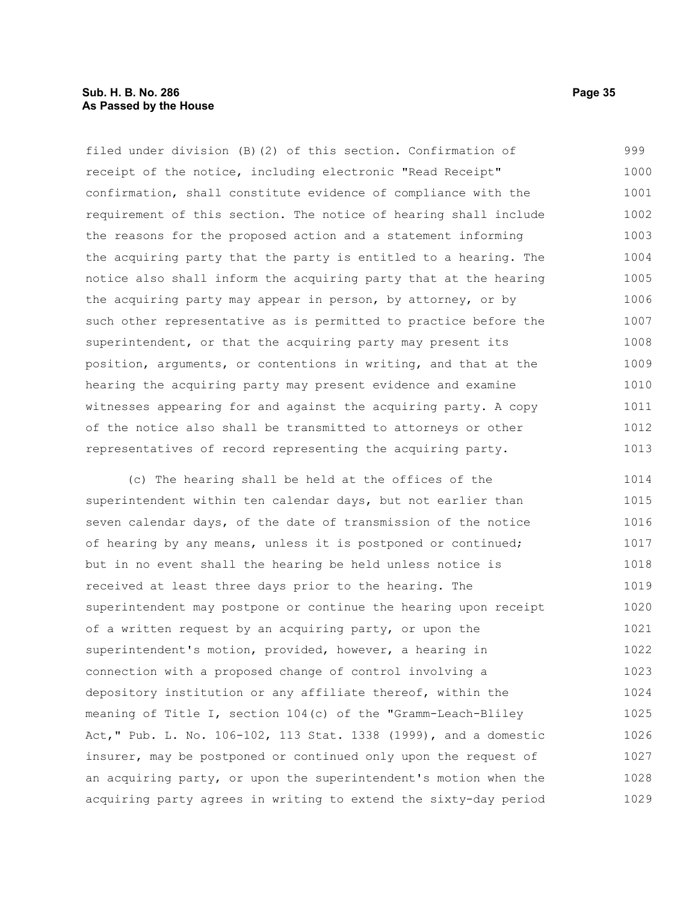#### **Sub. H. B. No. 286 Page 35 As Passed by the House**

filed under division (B)(2) of this section. Confirmation of receipt of the notice, including electronic "Read Receipt" confirmation, shall constitute evidence of compliance with the requirement of this section. The notice of hearing shall include the reasons for the proposed action and a statement informing the acquiring party that the party is entitled to a hearing. The notice also shall inform the acquiring party that at the hearing the acquiring party may appear in person, by attorney, or by such other representative as is permitted to practice before the superintendent, or that the acquiring party may present its position, arguments, or contentions in writing, and that at the hearing the acquiring party may present evidence and examine witnesses appearing for and against the acquiring party. A copy of the notice also shall be transmitted to attorneys or other representatives of record representing the acquiring party. 999 1000 1001 1002 1003 1004 1005 1006 1007 1008 1009 1010 1011 1012 1013

(c) The hearing shall be held at the offices of the superintendent within ten calendar days, but not earlier than seven calendar days, of the date of transmission of the notice of hearing by any means, unless it is postponed or continued; but in no event shall the hearing be held unless notice is received at least three days prior to the hearing. The superintendent may postpone or continue the hearing upon receipt of a written request by an acquiring party, or upon the superintendent's motion, provided, however, a hearing in connection with a proposed change of control involving a depository institution or any affiliate thereof, within the meaning of Title I, section 104(c) of the "Gramm-Leach-Bliley Act," Pub. L. No. 106-102, 113 Stat. 1338 (1999), and a domestic insurer, may be postponed or continued only upon the request of an acquiring party, or upon the superintendent's motion when the acquiring party agrees in writing to extend the sixty-day period 1014 1015 1016 1017 1018 1019 1020 1021 1022 1023 1024 1025 1026 1027 1028 1029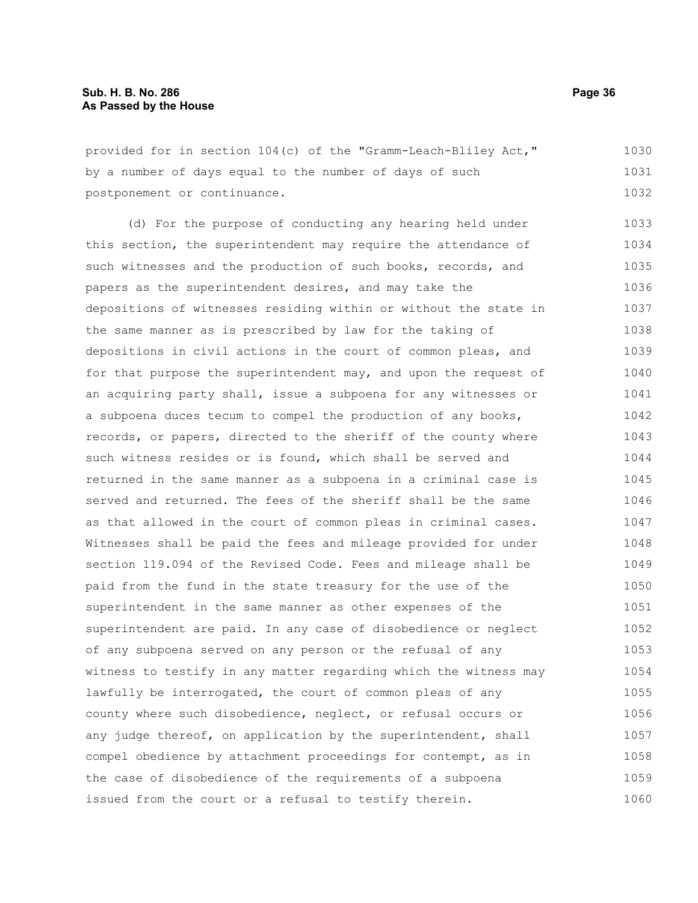provided for in section 104(c) of the "Gramm-Leach-Bliley Act," by a number of days equal to the number of days of such postponement or continuance. 1030 1031 1032

(d) For the purpose of conducting any hearing held under this section, the superintendent may require the attendance of such witnesses and the production of such books, records, and papers as the superintendent desires, and may take the depositions of witnesses residing within or without the state in the same manner as is prescribed by law for the taking of depositions in civil actions in the court of common pleas, and for that purpose the superintendent may, and upon the request of an acquiring party shall, issue a subpoena for any witnesses or a subpoena duces tecum to compel the production of any books, records, or papers, directed to the sheriff of the county where such witness resides or is found, which shall be served and returned in the same manner as a subpoena in a criminal case is served and returned. The fees of the sheriff shall be the same as that allowed in the court of common pleas in criminal cases. Witnesses shall be paid the fees and mileage provided for under section 119.094 of the Revised Code. Fees and mileage shall be paid from the fund in the state treasury for the use of the superintendent in the same manner as other expenses of the superintendent are paid. In any case of disobedience or neglect of any subpoena served on any person or the refusal of any witness to testify in any matter regarding which the witness may lawfully be interrogated, the court of common pleas of any county where such disobedience, neglect, or refusal occurs or any judge thereof, on application by the superintendent, shall compel obedience by attachment proceedings for contempt, as in the case of disobedience of the requirements of a subpoena issued from the court or a refusal to testify therein. 1033 1034 1035 1036 1037 1038 1039 1040 1041 1042 1043 1044 1045 1046 1047 1048 1049 1050 1051 1052 1053 1054 1055 1056 1057 1058 1059 1060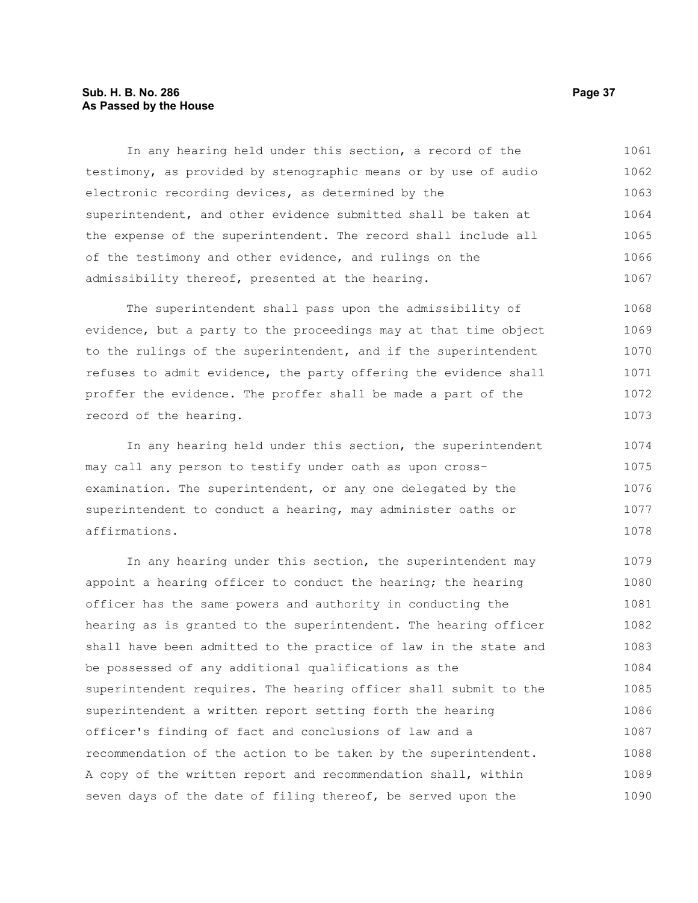### **Sub. H. B. No. 286 Page 37 As Passed by the House**

In any hearing held under this section, a record of the testimony, as provided by stenographic means or by use of audio electronic recording devices, as determined by the superintendent, and other evidence submitted shall be taken at the expense of the superintendent. The record shall include all of the testimony and other evidence, and rulings on the admissibility thereof, presented at the hearing. 1061 1062 1063 1064 1065 1066 1067

The superintendent shall pass upon the admissibility of evidence, but a party to the proceedings may at that time object to the rulings of the superintendent, and if the superintendent refuses to admit evidence, the party offering the evidence shall proffer the evidence. The proffer shall be made a part of the record of the hearing. 1068 1069 1070 1071 1072 1073

In any hearing held under this section, the superintendent may call any person to testify under oath as upon crossexamination. The superintendent, or any one delegated by the superintendent to conduct a hearing, may administer oaths or affirmations. 1074 1075 1076 1077 1078

In any hearing under this section, the superintendent may appoint a hearing officer to conduct the hearing; the hearing officer has the same powers and authority in conducting the hearing as is granted to the superintendent. The hearing officer shall have been admitted to the practice of law in the state and be possessed of any additional qualifications as the superintendent requires. The hearing officer shall submit to the superintendent a written report setting forth the hearing officer's finding of fact and conclusions of law and a recommendation of the action to be taken by the superintendent. A copy of the written report and recommendation shall, within seven days of the date of filing thereof, be served upon the 1079 1080 1081 1082 1083 1084 1085 1086 1087 1088 1089 1090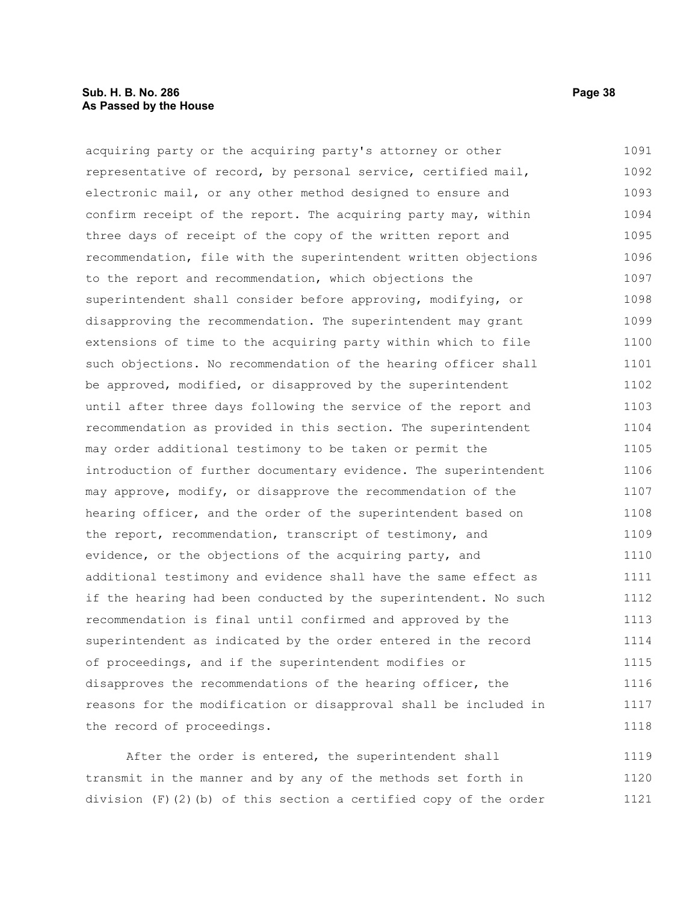#### **Sub. H. B. No. 286 Page 38 As Passed by the House**

acquiring party or the acquiring party's attorney or other representative of record, by personal service, certified mail, electronic mail, or any other method designed to ensure and confirm receipt of the report. The acquiring party may, within three days of receipt of the copy of the written report and recommendation, file with the superintendent written objections to the report and recommendation, which objections the superintendent shall consider before approving, modifying, or disapproving the recommendation. The superintendent may grant extensions of time to the acquiring party within which to file such objections. No recommendation of the hearing officer shall be approved, modified, or disapproved by the superintendent until after three days following the service of the report and recommendation as provided in this section. The superintendent may order additional testimony to be taken or permit the introduction of further documentary evidence. The superintendent may approve, modify, or disapprove the recommendation of the hearing officer, and the order of the superintendent based on the report, recommendation, transcript of testimony, and evidence, or the objections of the acquiring party, and additional testimony and evidence shall have the same effect as if the hearing had been conducted by the superintendent. No such recommendation is final until confirmed and approved by the superintendent as indicated by the order entered in the record of proceedings, and if the superintendent modifies or disapproves the recommendations of the hearing officer, the reasons for the modification or disapproval shall be included in the record of proceedings. 1091 1092 1093 1094 1095 1096 1097 1098 1099 1100 1101 1102 1103 1104 1105 1106 1107 1108 1109 1110 1111 1112 1113 1114 1115 1116 1117 1118

After the order is entered, the superintendent shall transmit in the manner and by any of the methods set forth in division (F)(2)(b) of this section a certified copy of the order 1119 1120 1121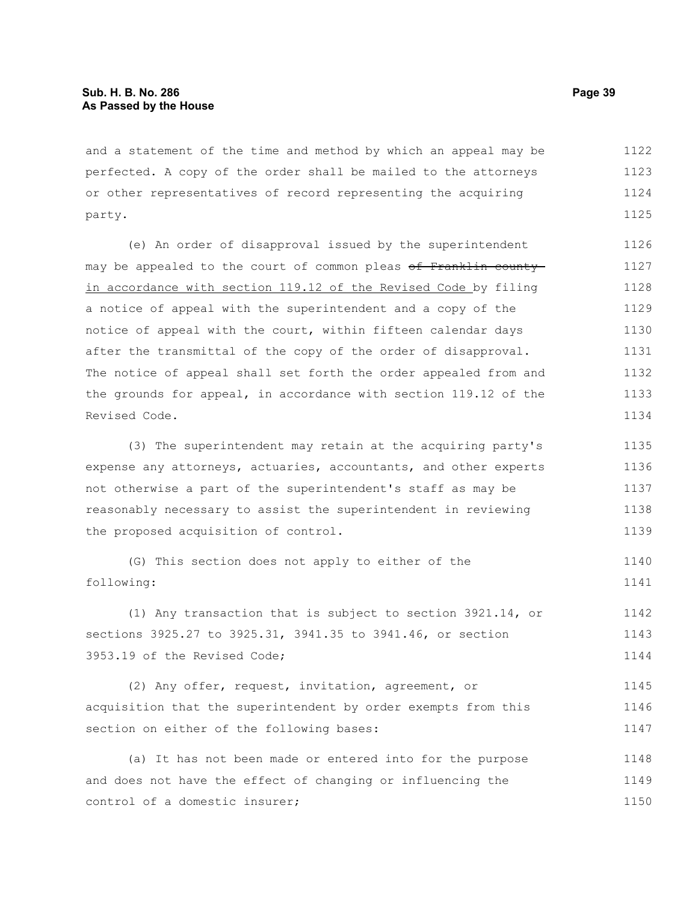and a statement of the time and method by which an appeal may be perfected. A copy of the order shall be mailed to the attorneys or other representatives of record representing the acquiring party. 1122 1123 1124 1125

(e) An order of disapproval issued by the superintendent may be appealed to the court of common pleas of Franklin county in accordance with section 119.12 of the Revised Code by filing a notice of appeal with the superintendent and a copy of the notice of appeal with the court, within fifteen calendar days after the transmittal of the copy of the order of disapproval. The notice of appeal shall set forth the order appealed from and the grounds for appeal, in accordance with section 119.12 of the Revised Code. 1126 1127 1128 1129 1130 1131 1132 1133 1134

(3) The superintendent may retain at the acquiring party's expense any attorneys, actuaries, accountants, and other experts not otherwise a part of the superintendent's staff as may be reasonably necessary to assist the superintendent in reviewing the proposed acquisition of control. 1135 1136 1137 1138 1139

(G) This section does not apply to either of the following: 1140 1141

(1) Any transaction that is subject to section 3921.14, or sections 3925.27 to 3925.31, 3941.35 to 3941.46, or section 3953.19 of the Revised Code; 1142 1143 1144

(2) Any offer, request, invitation, agreement, or acquisition that the superintendent by order exempts from this section on either of the following bases: 1145 1146 1147

(a) It has not been made or entered into for the purpose and does not have the effect of changing or influencing the control of a domestic insurer; 1148 1149 1150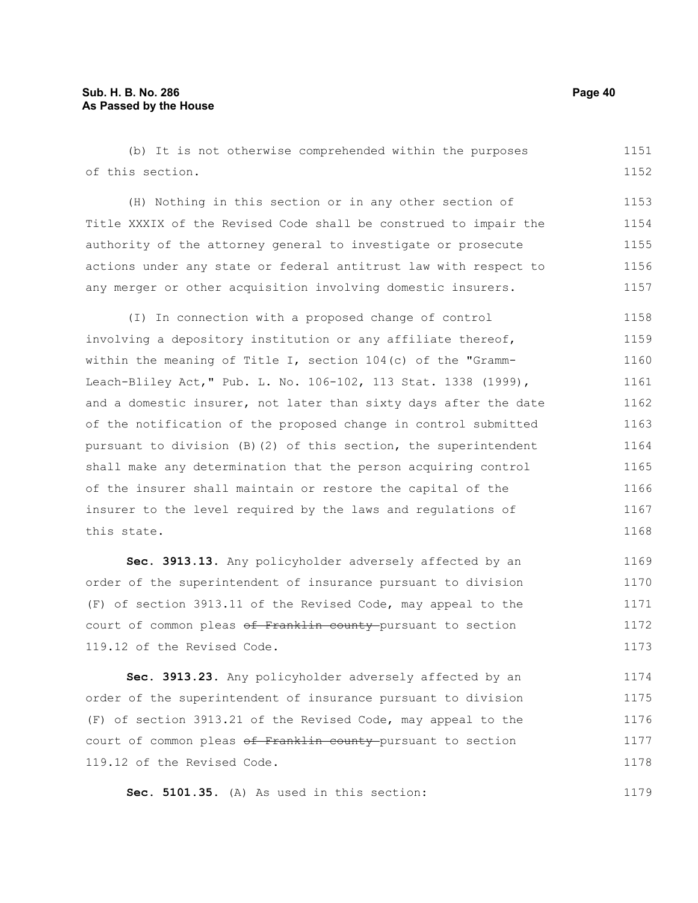(b) It is not otherwise comprehended within the purposes of this section. 1151 1152

(H) Nothing in this section or in any other section of Title XXXIX of the Revised Code shall be construed to impair the authority of the attorney general to investigate or prosecute actions under any state or federal antitrust law with respect to any merger or other acquisition involving domestic insurers. 1153 1154 1155 1156 1157

(I) In connection with a proposed change of control involving a depository institution or any affiliate thereof, within the meaning of Title I, section 104(c) of the "Gramm-Leach-Bliley Act," Pub. L. No. 106-102, 113 Stat. 1338 (1999), and a domestic insurer, not later than sixty days after the date of the notification of the proposed change in control submitted pursuant to division (B)(2) of this section, the superintendent shall make any determination that the person acquiring control of the insurer shall maintain or restore the capital of the insurer to the level required by the laws and regulations of this state. 1158 1159 1160 1161 1162 1163 1164 1165 1166 1167 1168

**Sec. 3913.13.** Any policyholder adversely affected by an order of the superintendent of insurance pursuant to division (F) of section 3913.11 of the Revised Code, may appeal to the court of common pleas of Franklin county pursuant to section 119.12 of the Revised Code. 1169 1170 1171 1172 1173

**Sec. 3913.23.** Any policyholder adversely affected by an order of the superintendent of insurance pursuant to division (F) of section 3913.21 of the Revised Code, may appeal to the court of common pleas of Franklin county pursuant to section 119.12 of the Revised Code. 1174 1175 1176 1177 1178

**Sec. 5101.35.** (A) As used in this section: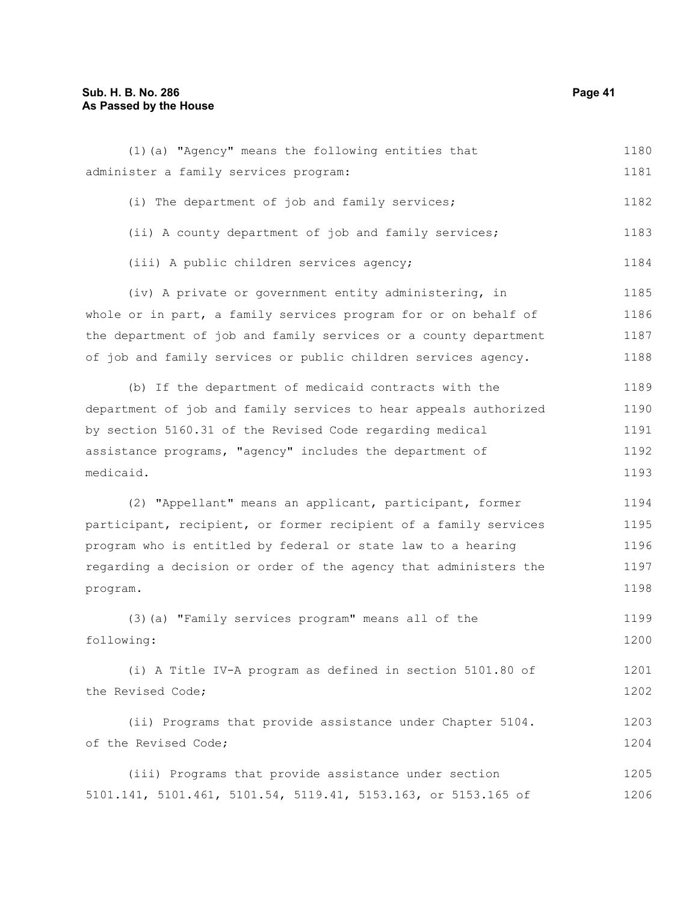### **Sub. H. B. No. 286** Page 41 **As Passed by the House**

| (1) (a) "Agency" means the following entities that               | 1180 |
|------------------------------------------------------------------|------|
| administer a family services program:                            | 1181 |
| (i) The department of job and family services;                   | 1182 |
| (ii) A county department of job and family services;             | 1183 |
| (iii) A public children services agency;                         | 1184 |
| (iv) A private or government entity administering, in            | 1185 |
| whole or in part, a family services program for or on behalf of  | 1186 |
| the department of job and family services or a county department | 1187 |
| of job and family services or public children services agency.   | 1188 |
| (b) If the department of medicaid contracts with the             | 1189 |
| department of job and family services to hear appeals authorized | 1190 |
| by section 5160.31 of the Revised Code regarding medical         | 1191 |
| assistance programs, "agency" includes the department of         | 1192 |
| medicaid.                                                        | 1193 |
| (2) "Appellant" means an applicant, participant, former          | 1194 |
| participant, recipient, or former recipient of a family services | 1195 |
| program who is entitled by federal or state law to a hearing     | 1196 |
| regarding a decision or order of the agency that administers the | 1197 |
| program.                                                         | 1198 |
| (3) (a) "Family services program" means all of the               | 1199 |
| following:                                                       | 1200 |
| (i) A Title IV-A program as defined in section 5101.80 of        | 1201 |
| the Revised Code;                                                | 1202 |
| (ii) Programs that provide assistance under Chapter 5104.        | 1203 |
| of the Revised Code;                                             | 1204 |
| (iii) Programs that provide assistance under section             | 1205 |
| 5101.141, 5101.461, 5101.54, 5119.41, 5153.163, or 5153.165 of   | 1206 |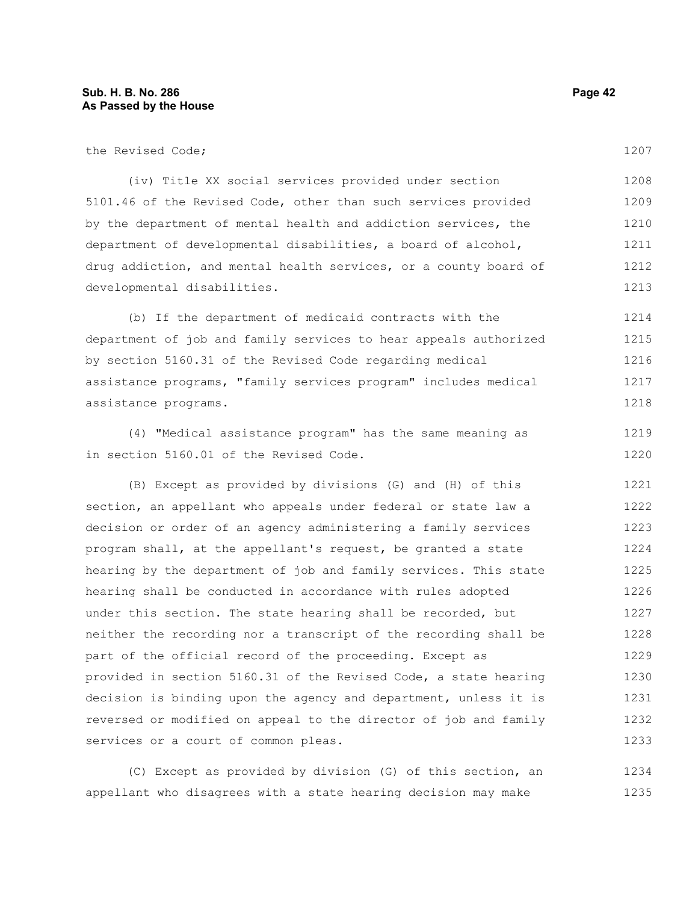| the Revised Code;                                                | 1207 |
|------------------------------------------------------------------|------|
| (iv) Title XX social services provided under section             | 1208 |
| 5101.46 of the Revised Code, other than such services provided   | 1209 |
| by the department of mental health and addiction services, the   | 1210 |
| department of developmental disabilities, a board of alcohol,    | 1211 |
| drug addiction, and mental health services, or a county board of | 1212 |
| developmental disabilities.                                      | 1213 |
| (b) If the department of medicaid contracts with the             | 1214 |
| department of job and family services to hear appeals authorized | 1215 |
| by section 5160.31 of the Revised Code regarding medical         | 1216 |
| assistance programs, "family services program" includes medical  | 1217 |
| assistance programs.                                             | 1218 |

(4) "Medical assistance program" has the same meaning as in section 5160.01 of the Revised Code. 1219 1220

(B) Except as provided by divisions (G) and (H) of this section, an appellant who appeals under federal or state law a decision or order of an agency administering a family services program shall, at the appellant's request, be granted a state hearing by the department of job and family services. This state hearing shall be conducted in accordance with rules adopted under this section. The state hearing shall be recorded, but neither the recording nor a transcript of the recording shall be part of the official record of the proceeding. Except as provided in section 5160.31 of the Revised Code, a state hearing decision is binding upon the agency and department, unless it is reversed or modified on appeal to the director of job and family services or a court of common pleas. 1221 1222 1223 1224 1225 1226 1227 1228 1229 1230 1231 1232 1233

(C) Except as provided by division (G) of this section, an appellant who disagrees with a state hearing decision may make 1234 1235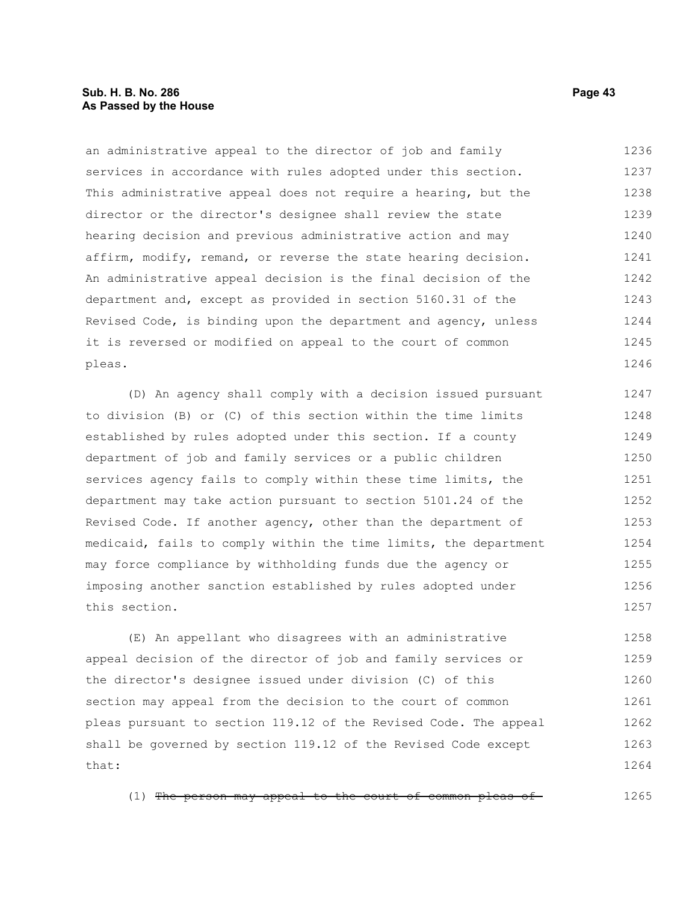#### **Sub. H. B. No. 286 Page 43 As Passed by the House**

an administrative appeal to the director of job and family services in accordance with rules adopted under this section. This administrative appeal does not require a hearing, but the director or the director's designee shall review the state hearing decision and previous administrative action and may affirm, modify, remand, or reverse the state hearing decision. An administrative appeal decision is the final decision of the department and, except as provided in section 5160.31 of the Revised Code, is binding upon the department and agency, unless it is reversed or modified on appeal to the court of common pleas. 1236 1237 1238 1239 1240 1241 1242 1243 1244 1245 1246

(D) An agency shall comply with a decision issued pursuant to division (B) or (C) of this section within the time limits established by rules adopted under this section. If a county department of job and family services or a public children services agency fails to comply within these time limits, the department may take action pursuant to section 5101.24 of the Revised Code. If another agency, other than the department of medicaid, fails to comply within the time limits, the department may force compliance by withholding funds due the agency or imposing another sanction established by rules adopted under this section. 1247 1248 1249 1250 1251 1252 1253 1254 1255 1256 1257

(E) An appellant who disagrees with an administrative appeal decision of the director of job and family services or the director's designee issued under division (C) of this section may appeal from the decision to the court of common pleas pursuant to section 119.12 of the Revised Code. The appeal shall be governed by section 119.12 of the Revised Code except that: 1258 1259 1260 1261 1262 1263 1264

(1) The person may appeal to the court of common pleas of 1265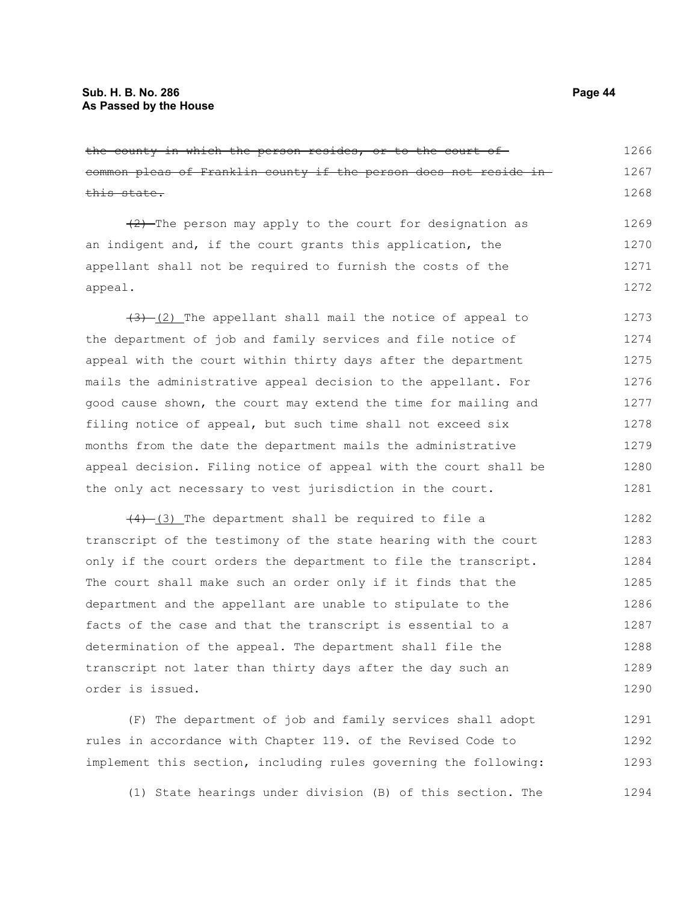order is issued.

the county in which the person resides, or to the court ofcommon pleas of Franklin county if the person does not reside in this state.  $(2)$ -The person may apply to the court for designation as an indigent and, if the court grants this application, the appellant shall not be required to furnish the costs of the appeal.  $(3)$   $(2)$  The appellant shall mail the notice of appeal to the department of job and family services and file notice of appeal with the court within thirty days after the department mails the administrative appeal decision to the appellant. For good cause shown, the court may extend the time for mailing and filing notice of appeal, but such time shall not exceed six months from the date the department mails the administrative appeal decision. Filing notice of appeal with the court shall be the only act necessary to vest jurisdiction in the court.  $(4)$   $(3)$  The department shall be required to file a transcript of the testimony of the state hearing with the court only if the court orders the department to file the transcript. The court shall make such an order only if it finds that the department and the appellant are unable to stipulate to the facts of the case and that the transcript is essential to a determination of the appeal. The department shall file the transcript not later than thirty days after the day such an 1266 1267 1268 1269 1270 1271 1272 1273 1274 1275 1276 1277 1278 1279 1280 1281 1282 1283 1284 1285 1286 1287 1288 1289

(F) The department of job and family services shall adopt rules in accordance with Chapter 119. of the Revised Code to implement this section, including rules governing the following: 1291 1292 1293

(1) State hearings under division (B) of this section. The 1294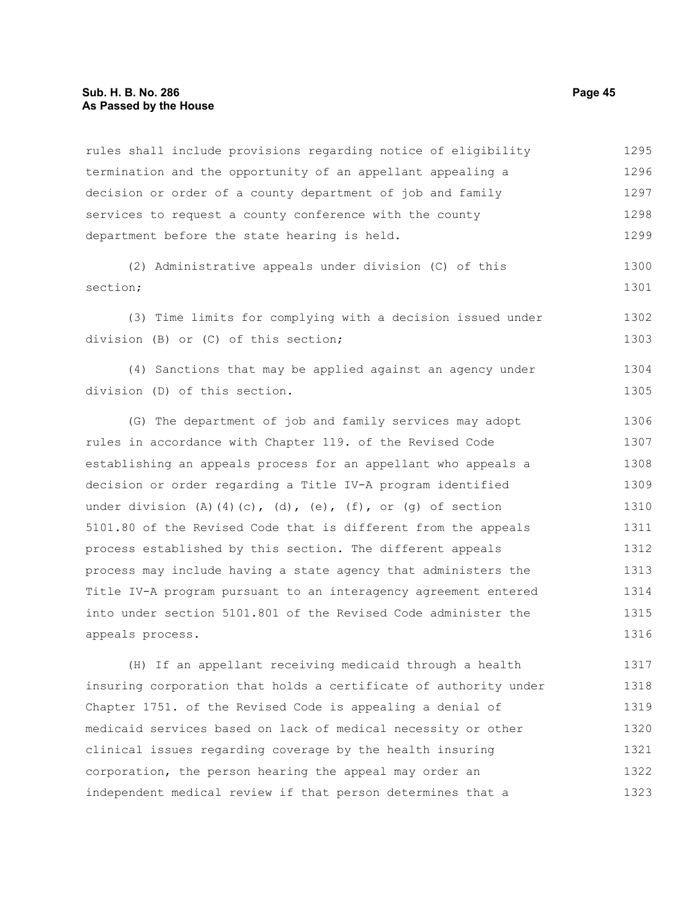#### **Sub. H. B. No. 286 Page 45 As Passed by the House**

rules shall include provisions regarding notice of eligibility termination and the opportunity of an appellant appealing a decision or order of a county department of job and family services to request a county conference with the county department before the state hearing is held. 1295 1296 1297 1298 1299

(2) Administrative appeals under division (C) of this section;

(3) Time limits for complying with a decision issued under division (B) or (C) of this section; 1302 1303

(4) Sanctions that may be applied against an agency under division (D) of this section. 1304 1305

(G) The department of job and family services may adopt rules in accordance with Chapter 119. of the Revised Code establishing an appeals process for an appellant who appeals a decision or order regarding a Title IV-A program identified under division  $(A)$   $(4)$   $(c)$ ,  $(d)$ ,  $(e)$ ,  $(f)$ , or  $(q)$  of section 5101.80 of the Revised Code that is different from the appeals process established by this section. The different appeals process may include having a state agency that administers the Title IV-A program pursuant to an interagency agreement entered into under section 5101.801 of the Revised Code administer the appeals process. 1306 1307 1308 1309 1310 1311 1312 1313 1314 1315 1316

(H) If an appellant receiving medicaid through a health insuring corporation that holds a certificate of authority under Chapter 1751. of the Revised Code is appealing a denial of medicaid services based on lack of medical necessity or other clinical issues regarding coverage by the health insuring corporation, the person hearing the appeal may order an independent medical review if that person determines that a 1317 1318 1319 1320 1321 1322 1323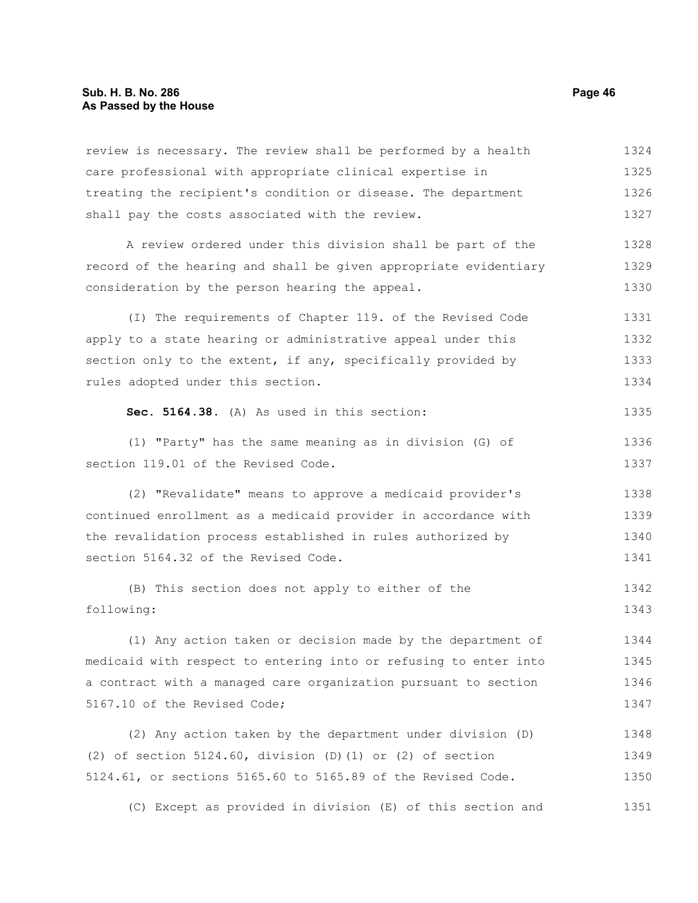review is necessary. The review shall be performed by a health care professional with appropriate clinical expertise in treating the recipient's condition or disease. The department shall pay the costs associated with the review. A review ordered under this division shall be part of the record of the hearing and shall be given appropriate evidentiary consideration by the person hearing the appeal. (I) The requirements of Chapter 119. of the Revised Code apply to a state hearing or administrative appeal under this section only to the extent, if any, specifically provided by rules adopted under this section. **Sec. 5164.38.** (A) As used in this section: (1) "Party" has the same meaning as in division (G) of section 119.01 of the Revised Code. (2) "Revalidate" means to approve a medicaid provider's continued enrollment as a medicaid provider in accordance with the revalidation process established in rules authorized by section 5164.32 of the Revised Code. (B) This section does not apply to either of the following: (1) Any action taken or decision made by the department of medicaid with respect to entering into or refusing to enter into a contract with a managed care organization pursuant to section 5167.10 of the Revised Code; (2) Any action taken by the department under division (D) (2) of section 5124.60, division (D)(1) or (2) of section 5124.61, or sections 5165.60 to 5165.89 of the Revised Code. (C) Except as provided in division (E) of this section and 1324 1325 1326 1327 1328 1329 1330 1331 1332 1333 1334 1335 1336 1337 1338 1339 1340 1341 1342 1343 1344 1345 1346 1347 1348 1349 1350 1351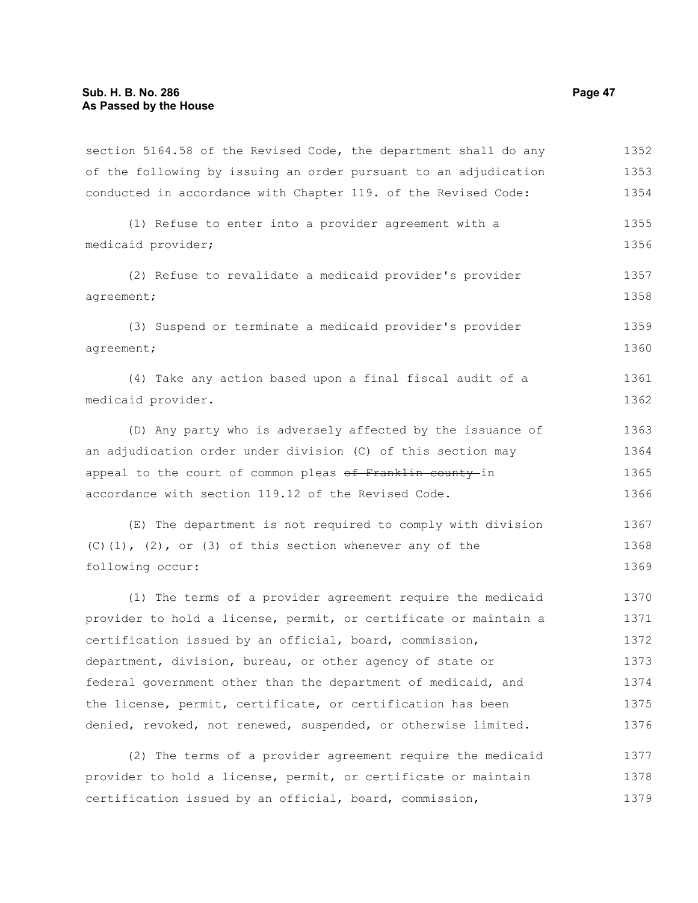section 5164.58 of the Revised Code, the department shall do any of the following by issuing an order pursuant to an adjudication conducted in accordance with Chapter 119. of the Revised Code: (1) Refuse to enter into a provider agreement with a medicaid provider; (2) Refuse to revalidate a medicaid provider's provider agreement; (3) Suspend or terminate a medicaid provider's provider agreement; (4) Take any action based upon a final fiscal audit of a medicaid provider. (D) Any party who is adversely affected by the issuance of an adjudication order under division (C) of this section may appeal to the court of common pleas of Franklin county-in accordance with section 119.12 of the Revised Code. (E) The department is not required to comply with division  $(C)$ (1), (2), or (3) of this section whenever any of the following occur: (1) The terms of a provider agreement require the medicaid provider to hold a license, permit, or certificate or maintain a certification issued by an official, board, commission, department, division, bureau, or other agency of state or federal government other than the department of medicaid, and the license, permit, certificate, or certification has been denied, revoked, not renewed, suspended, or otherwise limited. (2) The terms of a provider agreement require the medicaid 1352 1353 1354 1355 1356 1357 1358 1359 1360 1361 1362 1363 1364 1365 1366 1367 1368 1369 1370 1371 1372 1373 1374 1375 1376 1377

provider to hold a license, permit, or certificate or maintain certification issued by an official, board, commission, 1378 1379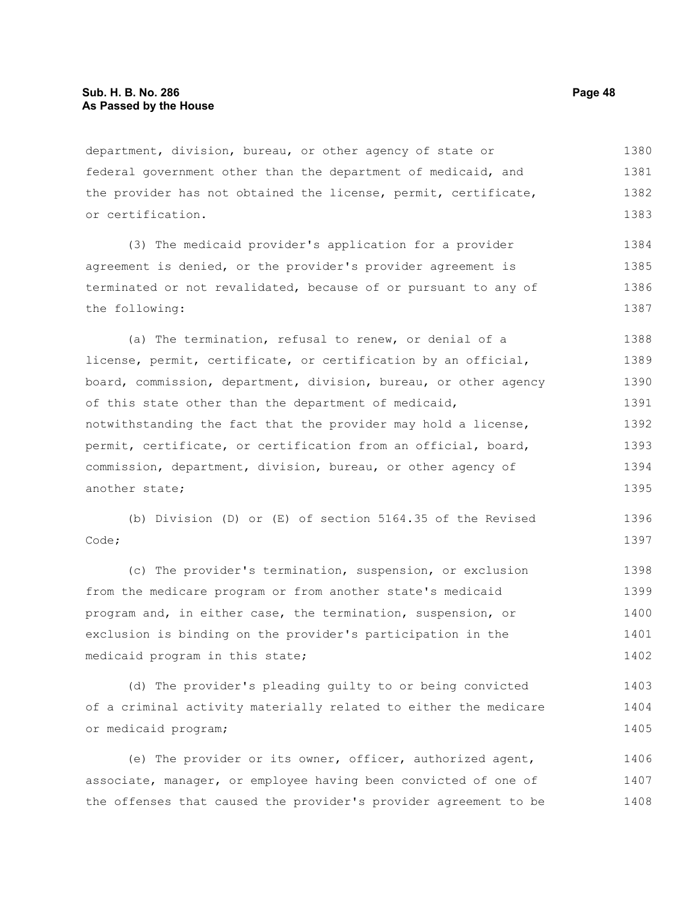department, division, bureau, or other agency of state or federal government other than the department of medicaid, and the provider has not obtained the license, permit, certificate, or certification. 1380 1381 1382 1383

(3) The medicaid provider's application for a provider agreement is denied, or the provider's provider agreement is terminated or not revalidated, because of or pursuant to any of the following: 1384 1385 1386 1387

(a) The termination, refusal to renew, or denial of a license, permit, certificate, or certification by an official, board, commission, department, division, bureau, or other agency of this state other than the department of medicaid, notwithstanding the fact that the provider may hold a license, permit, certificate, or certification from an official, board, commission, department, division, bureau, or other agency of another state; 1388 1389 1390 1391 1392 1393 1394 1395

(b) Division (D) or (E) of section 5164.35 of the Revised Code; 1396 1397

(c) The provider's termination, suspension, or exclusion from the medicare program or from another state's medicaid program and, in either case, the termination, suspension, or exclusion is binding on the provider's participation in the medicaid program in this state; 1398 1399 1400 1401 1402

(d) The provider's pleading guilty to or being convicted of a criminal activity materially related to either the medicare or medicaid program; 1403 1404 1405

(e) The provider or its owner, officer, authorized agent, associate, manager, or employee having been convicted of one of the offenses that caused the provider's provider agreement to be 1406 1407 1408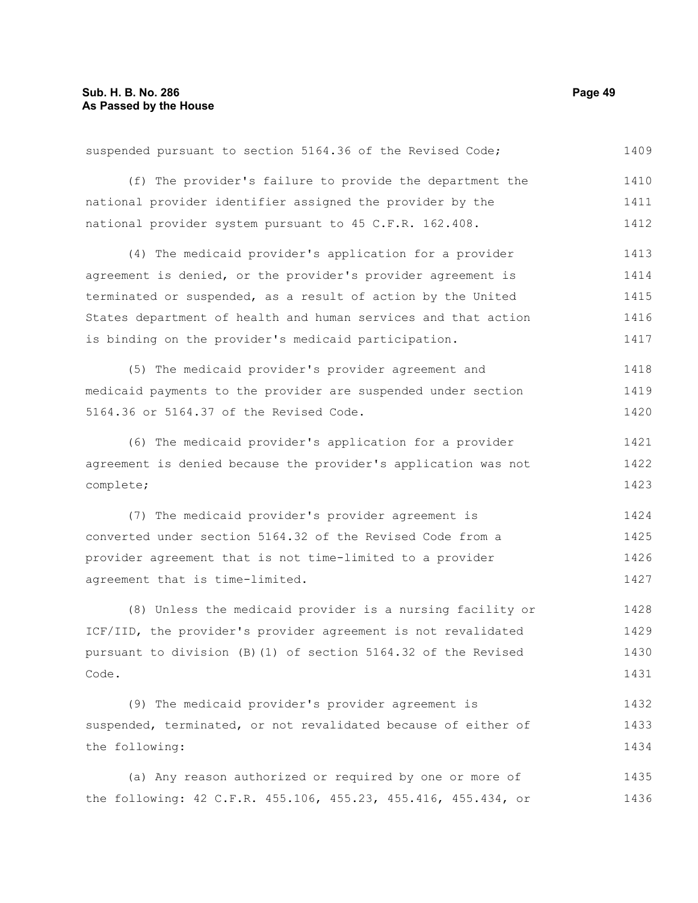(f) The provider's failure to provide the department the national provider identifier assigned the provider by the national provider system pursuant to 45 C.F.R. 162.408. (4) The medicaid provider's application for a provider agreement is denied, or the provider's provider agreement is terminated or suspended, as a result of action by the United States department of health and human services and that action is binding on the provider's medicaid participation. (5) The medicaid provider's provider agreement and medicaid payments to the provider are suspended under section 5164.36 or 5164.37 of the Revised Code. (6) The medicaid provider's application for a provider agreement is denied because the provider's application was not complete; (7) The medicaid provider's provider agreement is converted under section 5164.32 of the Revised Code from a provider agreement that is not time-limited to a provider agreement that is time-limited. (8) Unless the medicaid provider is a nursing facility or ICF/IID, the provider's provider agreement is not revalidated pursuant to division (B)(1) of section 5164.32 of the Revised Code. (9) The medicaid provider's provider agreement is suspended, terminated, or not revalidated because of either of the following: (a) Any reason authorized or required by one or more of the following: 42 C.F.R. 455.106, 455.23, 455.416, 455.434, or 1410 1411 1412 1413 1414 1415 1416 1417 1418 1419 1420 1421 1422 1423 1424 1425 1426 1427 1428 1429 1430 1431 1432 1433 1434 1435 1436

suspended pursuant to section 5164.36 of the Revised Code;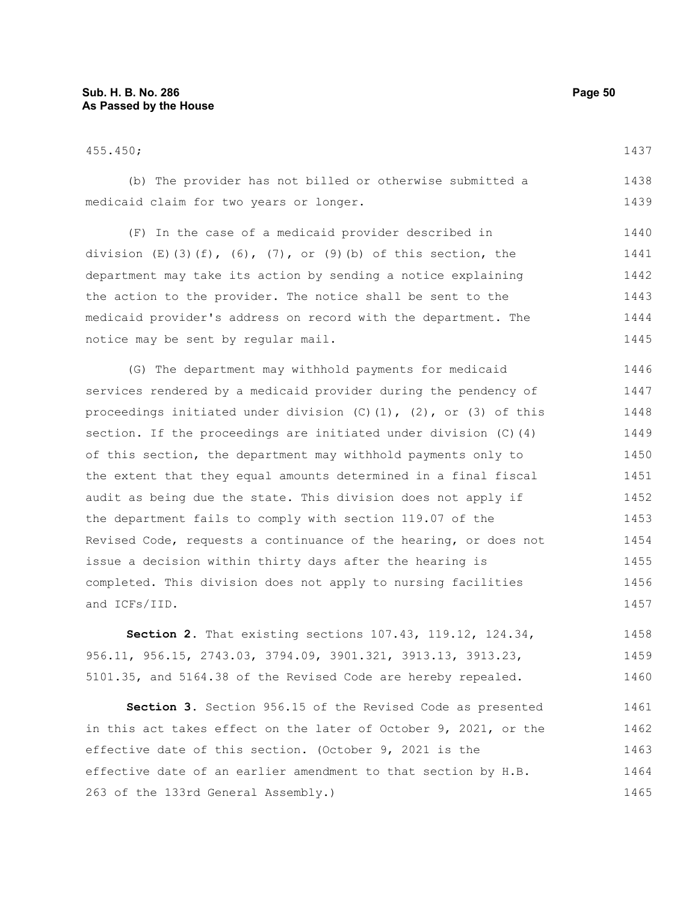455.450; (b) The provider has not billed or otherwise submitted a medicaid claim for two years or longer. (F) In the case of a medicaid provider described in division  $(E)(3)(f)$ ,  $(6)$ ,  $(7)$ , or  $(9)(b)$  of this section, the department may take its action by sending a notice explaining the action to the provider. The notice shall be sent to the medicaid provider's address on record with the department. The notice may be sent by regular mail. (G) The department may withhold payments for medicaid services rendered by a medicaid provider during the pendency of proceedings initiated under division  $(C)$  (1), (2), or (3) of this section. If the proceedings are initiated under division  $(C)$  (4) of this section, the department may withhold payments only to the extent that they equal amounts determined in a final fiscal audit as being due the state. This division does not apply if the department fails to comply with section 119.07 of the Revised Code, requests a continuance of the hearing, or does not issue a decision within thirty days after the hearing is completed. This division does not apply to nursing facilities and ICFs/IID. **Section 2.** That existing sections 107.43, 119.12, 124.34, 1437 1438 1439 1440 1441 1442 1443 1444 1445 1446 1447 1448 1449 1450 1451 1452 1453 1454 1455 1456 1457 1458

956.11, 956.15, 2743.03, 3794.09, 3901.321, 3913.13, 3913.23, 5101.35, and 5164.38 of the Revised Code are hereby repealed. 1459 1460

**Section 3.** Section 956.15 of the Revised Code as presented in this act takes effect on the later of October 9, 2021, or the effective date of this section. (October 9, 2021 is the effective date of an earlier amendment to that section by H.B. 263 of the 133rd General Assembly.) 1461 1462 1463 1464 1465